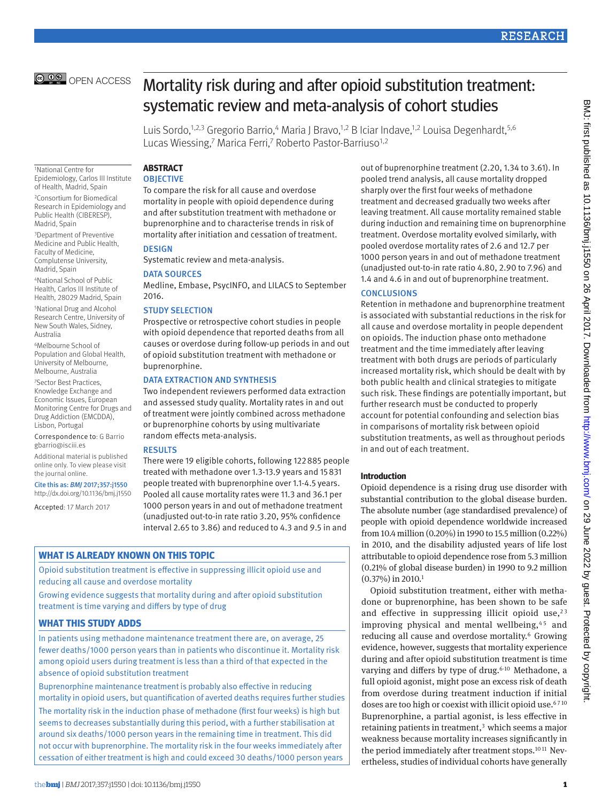## **COO** OPEN ACCESS

1National Centre for Epidemiology, Carlos III Institute of Health, Madrid, Spain 2Consortium for Biomedical Research in Epidemiology and Public Health (CIBERESP), Madrid, Spain

3Department of Preventive Medicine and Public Health, Faculty of Medicine, Complutense University, Madrid, Spain

4National School of Public Health, Carlos III Institute of Health, 28029 Madrid, Spain

5National Drug and Alcohol Research Centre, University of New South Wales, Sidney, Australia

6Melbourne School of Population and Global Health, University of Melbourne, Melbourne, Australia

7 Sector Best Practices, Knowledge Exchange and Economic Issues, European Monitoring Centre for Drugs and Drug Addiction (EMCDDA), Lisbon, Portugal

Correspondence to: G Barrio gbarrio@isciii.es

Additional material is published online only. To view please visit the journal online.

Cite this as: *BMJ* 2017;357:j1550 http://dx.doi.org/10.1136/bmj.j1550

Accepted: 17 March 2017

# Mortality risk during and after opioid substitution treatment: systematic review and meta-analysis of cohort studies

Luis Sordo,<sup>1,2,3</sup> Gregorio Barrio,<sup>4</sup> Maria J Bravo,<sup>1,2</sup> B Iciar Indave,<sup>1,2</sup> Louisa Degenhardt,<sup>5,6</sup> Lucas Wiessing,<sup>7</sup> Marica Ferri,7 Roberto Pastor-Barriuso<sup>1,2</sup>

## **ABSTRACT**

## **OBJECTIVE**

To compare the risk for all cause and overdose mortality in people with opioid dependence during and after substitution treatment with methadone or buprenorphine and to characterise trends in risk of mortality after initiation and cessation of treatment. **DESIGN** 

Systematic review and meta-analysis.

## DATA SOURCES

Medline, Embase, PsycINFO, and LILACS to September 2016.

## Study selection

Prospective or retrospective cohort studies in people with opioid dependence that reported deaths from all causes or overdose during follow-up periods in and out of opioid substitution treatment with methadone or buprenorphine.

## Data extraction and synthesis

Two independent reviewers performed data extraction and assessed study quality. Mortality rates in and out of treatment were jointly combined across methadone or buprenorphine cohorts by using multivariate random effects meta-analysis.

## **RESULTS**

There were 19 eligible cohorts, following 122885 people treated with methadone over 1.3-13.9 years and 15831 people treated with buprenorphine over 1.1-4.5 years. Pooled all cause mortality rates were 11.3 and 36.1 per 1000 person years in and out of methadone treatment (unadjusted out-to-in rate ratio 3.20, 95% confidence interval 2.65 to 3.86) and reduced to 4.3 and 9.5 in and

## **What is already known on this topic**

Opioid substitution treatment is effective in suppressing illicit opioid use and reducing all cause and overdose mortality

Growing evidence suggests that mortality during and after opioid substitution treatment is time varying and differs by type of drug

## **What this study adds**

In patients using methadone maintenance treatment there are, on average, 25 fewer deaths/1000 person years than in patients who discontinue it. Mortality risk among opioid users during treatment is less than a third of that expected in the absence of opioid substitution treatment

Buprenorphine maintenance treatment is probably also effective in reducing mortality in opioid users, but quantification of averted deaths requires further studies

The mortality risk in the induction phase of methadone (first four weeks) is high but seems to decreases substantially during this period, with a further stabilisation at around six deaths/1000 person years in the remaining time in treatment. This did not occur with buprenorphine. The mortality risk in the four weeks immediately after cessation of either treatment is high and could exceed 30 deaths/1000 person years out of buprenorphine treatment (2.20, 1.34 to 3.61). In pooled trend analysis, all cause mortality dropped sharply over the first four weeks of methadone treatment and decreased gradually two weeks after leaving treatment. All cause mortality remained stable during induction and remaining time on buprenorphine treatment. Overdose mortality evolved similarly, with pooled overdose mortality rates of 2.6 and 12.7 per 1000 person years in and out of methadone treatment (unadjusted out-to-in rate ratio 4.80, 2.90 to 7.96) and 1.4 and 4.6 in and out of buprenorphine treatment.

## **CONCLUSIONS**

Retention in methadone and buprenorphine treatment is associated with substantial reductions in the risk for all cause and overdose mortality in people dependent on opioids. The induction phase onto methadone treatment and the time immediately after leaving treatment with both drugs are periods of particularly increased mortality risk, which should be dealt with by both public health and clinical strategies to mitigate such risk. These findings are potentially important, but further research must be conducted to properly account for potential confounding and selection bias in comparisons of mortality risk between opioid substitution treatments, as well as throughout periods in and out of each treatment.

## **Introduction**

Opioid dependence is a rising drug use disorder with substantial contribution to the global disease burden. The absolute number (age standardised prevalence) of people with opioid dependence worldwide increased from 10.4 million (0.20%) in 1990 to 15.5 million (0.22%) in 2010, and the disability adjusted years of life lost attributable to opioid dependence rose from 5.3 million (0.21% of global disease burden) in 1990 to 9.2 million (0.37%) in 2010.1

Opioid substitution treatment, either with methadone or buprenorphine, has been shown to be safe and effective in suppressing illicit opioid use,<sup>23</sup> improving physical and mental wellbeing, $45$  and reducing all cause and overdose mortality.6 Growing evidence, however, suggests that mortality experience during and after opioid substitution treatment is time varying and differs by type of drug.<sup>6-10</sup> Methadone, a full opioid agonist, might pose an excess risk of death from overdose during treatment induction if initial doses are too high or coexist with illicit opioid use.<sup>6710</sup> Buprenorphine, a partial agonist, is less effective in retaining patients in treatment,<sup>3</sup> which seems a major weakness because mortality increases significantly in the period immediately after treatment stops.<sup>10 11</sup> Nevertheless, studies of individual cohorts have generally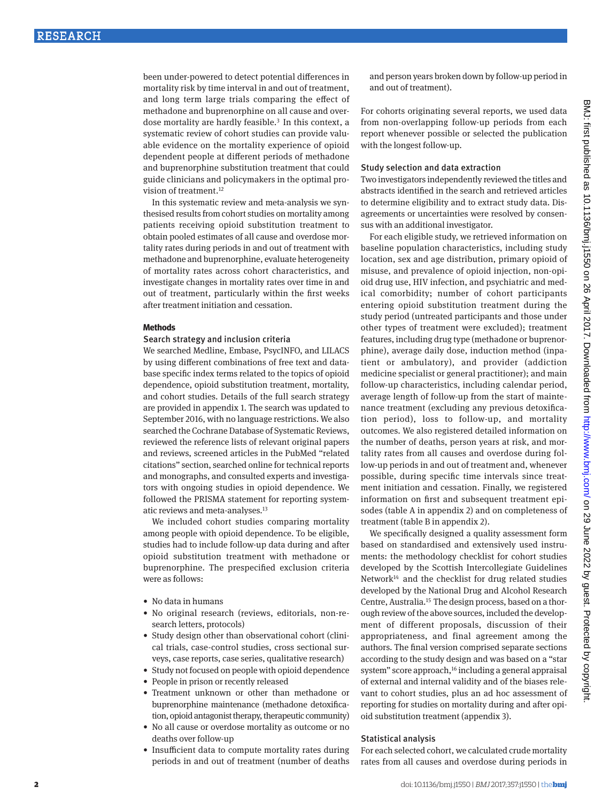been under-powered to detect potential differences in mortality risk by time interval in and out of treatment, and long term large trials comparing the effect of methadone and buprenorphine on all cause and overdose mortality are hardly feasible.<sup>3</sup> In this context, a systematic review of cohort studies can provide valuable evidence on the mortality experience of opioid dependent people at different periods of methadone and buprenorphine substitution treatment that could guide clinicians and policymakers in the optimal provision of treatment.12

In this systematic review and meta-analysis we synthesised results from cohort studies on mortality among patients receiving opioid substitution treatment to obtain pooled estimates of all cause and overdose mortality rates during periods in and out of treatment with methadone and buprenorphine, evaluate heterogeneity of mortality rates across cohort characteristics, and investigate changes in mortality rates over time in and out of treatment, particularly within the first weeks after treatment initiation and cessation.

#### **Methods**

#### Search strategy and inclusion criteria

We searched Medline, Embase, PsycINFO, and LILACS by using different combinations of free text and database specific index terms related to the topics of opioid dependence, opioid substitution treatment, mortality, and cohort studies. Details of the full search strategy are provided in appendix 1. The search was updated to September 2016, with no language restrictions. We also searched the Cochrane Database of Systematic Reviews, reviewed the reference lists of relevant original papers and reviews, screened articles in the PubMed "related citations" section, searched online for technical reports and monographs, and consulted experts and investigators with ongoing studies in opioid dependence. We followed the PRISMA statement for reporting systematic reviews and meta-analyses.13

We included cohort studies comparing mortality among people with opioid dependence. To be eligible, studies had to include follow-up data during and after opioid substitution treatment with methadone or buprenorphine. The prespecified exclusion criteria were as follows:

- • No data in humans
- • No original research (reviews, editorials, non-research letters, protocols)
- Study design other than observational cohort (clinical trials, case-control studies, cross sectional surveys, case reports, case series, qualitative research)
- • Study not focused on people with opioid dependence
- • People in prison or recently released
- • Treatment unknown or other than methadone or buprenorphine maintenance (methadone detoxification, opioid antagonist therapy, therapeutic community)
- No all cause or overdose mortality as outcome or no deaths over follow-up
- Insufficient data to compute mortality rates during periods in and out of treatment (number of deaths

and person years broken down by follow-up period in and out of treatment).

For cohorts originating several reports, we used data from non-overlapping follow-up periods from each report whenever possible or selected the publication with the longest follow-up.

#### Study selection and data extraction

Two investigators independently reviewed the titles and abstracts identified in the search and retrieved articles to determine eligibility and to extract study data. Disagreements or uncertainties were resolved by consensus with an additional investigator.

For each eligible study, we retrieved information on baseline population characteristics, including study location, sex and age distribution, primary opioid of misuse, and prevalence of opioid injection, non-opioid drug use, HIV infection, and psychiatric and medical comorbidity; number of cohort participants entering opioid substitution treatment during the study period (untreated participants and those under other types of treatment were excluded); treatment features, including drug type (methadone or buprenorphine), average daily dose, induction method (inpatient or ambulatory), and provider (addiction medicine specialist or general practitioner); and main follow-up characteristics, including calendar period, average length of follow-up from the start of maintenance treatment (excluding any previous detoxification period), loss to follow-up, and mortality outcomes. We also registered detailed information on the number of deaths, person years at risk, and mortality rates from all causes and overdose during follow-up periods in and out of treatment and, whenever possible, during specific time intervals since treatment initiation and cessation. Finally, we registered information on first and subsequent treatment episodes (table A in appendix 2) and on completeness of treatment (table B in appendix 2).

We specifically designed a quality assessment form based on standardised and extensively used instruments: the methodology checklist for cohort studies developed by the Scottish Intercollegiate Guidelines Network<sup>14</sup> and the checklist for drug related studies developed by the National Drug and Alcohol Research Centre, Australia.15 The design process, based on a thorough review of the above sources, included the development of different proposals, discussion of their appropriateness, and final agreement among the authors. The final version comprised separate sections according to the study design and was based on a "star system" score approach,<sup>16</sup> including a general appraisal of external and internal validity and of the biases relevant to cohort studies, plus an ad hoc assessment of reporting for studies on mortality during and after opioid substitution treatment (appendix 3).

## Statistical analysis

For each selected cohort, we calculated crude mortality rates from all causes and overdose during periods in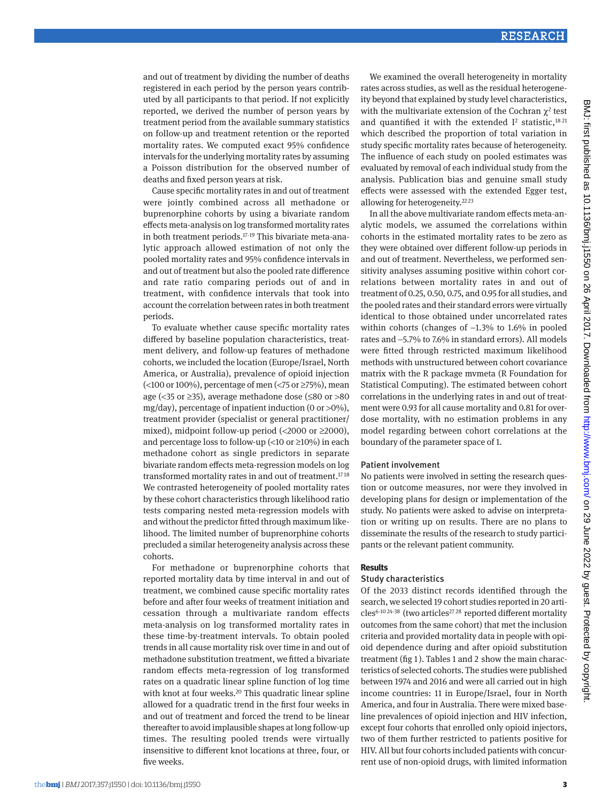and out of treatment by dividing the number of deaths registered in each period by the person years contributed by all participants to that period. If not explicitly reported, we derived the number of person years by treatment period from the available summary statistics on follow-up and treatment retention or the reported mortality rates. We computed exact 95% confidence intervals for the underlying mortality rates by assuming a Poisson distribution for the observed number of deaths and fixed person years at risk.

Cause specific mortality rates in and out of treatment were jointly combined across all methadone or buprenorphine cohorts by using a bivariate random effects meta-analysis on log transformed mortality rates in both treatment periods.17-19 This bivariate meta-analytic approach allowed estimation of not only the pooled mortality rates and 95% confidence intervals in and out of treatment but also the pooled rate difference and rate ratio comparing periods out of and in treatment, with confidence intervals that took into account the correlation between rates in both treatment periods.

To evaluate whether cause specific mortality rates differed by baseline population characteristics, treatment delivery, and follow-up features of methadone cohorts, we included the location (Europe/Israel, North America, or Australia), prevalence of opioid injection  $\left($  <100 or 100%), percentage of men (<75 or  $\geq$ 75%), mean age (<35 or ≥35), average methadone dose (≤80 or >80 mg/day), percentage of inpatient induction (0 or  $>0\%$ ), treatment provider (specialist or general practitioner/ mixed), midpoint follow-up period (<2000 or ≥2000), and percentage loss to follow-up (<10 or  $\geq$ 10%) in each methadone cohort as single predictors in separate bivariate random effects meta-regression models on log transformed mortality rates in and out of treatment.<sup>1718</sup> We contrasted heterogeneity of pooled mortality rates by these cohort characteristics through likelihood ratio tests comparing nested meta-regression models with and without the predictor fitted through maximum likelihood. The limited number of buprenorphine cohorts precluded a similar heterogeneity analysis across these cohorts.

For methadone or buprenorphine cohorts that reported mortality data by time interval in and out of treatment, we combined cause specific mortality rates before and after four weeks of treatment initiation and cessation through a multivariate random effects meta-analysis on log transformed mortality rates in these time-by-treatment intervals. To obtain pooled trends in all cause mortality risk over time in and out of methadone substitution treatment, we fitted a bivariate random effects meta-regression of log transformed rates on a quadratic linear spline function of log time with knot at four weeks.<sup>20</sup> This quadratic linear spline allowed for a quadratic trend in the first four weeks in and out of treatment and forced the trend to be linear thereafter to avoid implausible shapes at long follow-up times. The resulting pooled trends were virtually insensitive to different knot locations at three, four, or five weeks.

We examined the overall heterogeneity in mortality rates across studies, as well as the residual heterogeneity beyond that explained by study level characteristics, with the multivariate extension of the Cochran  $\chi^2$  test and quantified it with the extended  $I<sup>2</sup>$  statistic,<sup>18 21</sup> which described the proportion of total variation in study specific mortality rates because of heterogeneity. The influence of each study on pooled estimates was evaluated by removal of each individual study from the analysis. Publication bias and genuine small study effects were assessed with the extended Egger test, allowing for heterogeneity.22 <sup>23</sup>

In all the above multivariate random effects meta-analytic models, we assumed the correlations within cohorts in the estimated mortality rates to be zero as they were obtained over different follow-up periods in and out of treatment. Nevertheless, we performed sensitivity analyses assuming positive within cohort correlations between mortality rates in and out of treatment of 0.25, 0.50, 0.75, and 0.95 for all studies, and the pooled rates and their standard errors were virtually identical to those obtained under uncorrelated rates within cohorts (changes of −1.3% to 1.6% in pooled rates and −5.7% to 7.6% in standard errors). All models were fitted through restricted maximum likelihood methods with unstructured between cohort covariance matrix with the R package mvmeta (R Foundation for Statistical Computing). The estimated between cohort correlations in the underlying rates in and out of treatment were 0.93 for all cause mortality and 0.81 for overdose mortality, with no estimation problems in any model regarding between cohort correlations at the boundary of the parameter space of 1.

#### Patient involvement

No patients were involved in setting the research question or outcome measures, nor were they involved in developing plans for design or implementation of the study. No patients were asked to advise on interpretation or writing up on results. There are no plans to disseminate the results of the research to study participants or the relevant patient community.

#### **Results**

#### Study characteristics

Of the 2033 distinct records identified through the search, we selected 19 cohort studies reported in 20 articles<sup>6-10 24-38</sup> (two articles<sup>27 28</sup> reported different mortality outcomes from the same cohort) that met the inclusion criteria and provided mortality data in people with opioid dependence during and after opioid substitution treatment (fig 1). Tables 1 and 2 show the main characteristics of selected cohorts. The studies were published between 1974 and 2016 and were all carried out in high income countries: 11 in Europe/Israel, four in North America, and four in Australia. There were mixed baseline prevalences of opioid injection and HIV infection, except four cohorts that enrolled only opioid injectors, two of them further restricted to patients positive for HIV. All but four cohorts included patients with concurrent use of non-opioid drugs, with limited information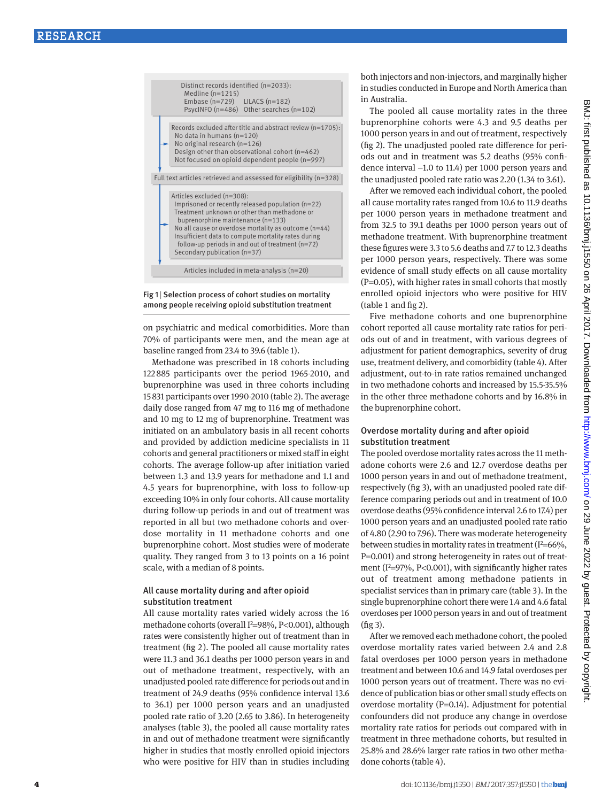



on psychiatric and medical comorbidities. More than 70% of participants were men, and the mean age at baseline ranged from 23.4 to 39.6 (table 1).

Methadone was prescribed in 18 cohorts including 122 885 participants over the period 1965-2010, and buprenorphine was used in three cohorts including 15831 participants over 1990-2010 (table 2). The average daily dose ranged from 47 mg to 116 mg of methadone and 10 mg to 12 mg of buprenorphine. Treatment was initiated on an ambulatory basis in all recent cohorts and provided by addiction medicine specialists in 11 cohorts and general practitioners or mixed staff in eight cohorts. The average follow-up after initiation varied between 1.3 and 13.9 years for methadone and 1.1 and 4.5 years for buprenorphine, with loss to follow-up exceeding 10% in only four cohorts. All cause mortality during follow-up periods in and out of treatment was reported in all but two methadone cohorts and overdose mortality in 11 methadone cohorts and one buprenorphine cohort. Most studies were of moderate quality. They ranged from 3 to 13 points on a 16 point scale, with a median of 8 points.

## All cause mortality during and after opioid substitution treatment

All cause mortality rates varied widely across the 16 methadone cohorts (overall I<sup>2</sup>=98%, P<0.001), although rates were consistently higher out of treatment than in treatment (fig 2). The pooled all cause mortality rates were 11.3 and 36.1 deaths per 1000 person years in and out of methadone treatment, respectively, with an unadjusted pooled rate difference for periods out and in treatment of 24.9 deaths (95% confidence interval 13.6 to 36.1) per 1000 person years and an unadjusted pooled rate ratio of 3.20 (2.65 to 3.86). In heterogeneity analyses (table 3), the pooled all cause mortality rates in and out of methadone treatment were significantly higher in studies that mostly enrolled opioid injectors who were positive for HIV than in studies including both injectors and non-injectors, and marginally higher in studies conducted in Europe and North America than in Australia.

The pooled all cause mortality rates in the three buprenorphine cohorts were 4.3 and 9.5 deaths per 1000 person years in and out of treatment, respectively (fig 2). The unadjusted pooled rate difference for periods out and in treatment was 5.2 deaths (95% confidence interval −1.0 to 11.4) per 1000 person years and the unadjusted pooled rate ratio was 2.20 (1.34 to 3.61).

After we removed each individual cohort, the pooled all cause mortality rates ranged from 10.6 to 11.9 deaths per 1000 person years in methadone treatment and from 32.5 to 39.1 deaths per 1000 person years out of methadone treatment. With buprenorphine treatment these figures were 3.3 to 5.6 deaths and 7.7 to 12.3 deaths per 1000 person years, respectively. There was some evidence of small study effects on all cause mortality (P=0.05), with higher rates in small cohorts that mostly enrolled opioid injectors who were positive for HIV (table 1 and fig 2).

Five methadone cohorts and one buprenorphine cohort reported all cause mortality rate ratios for periods out of and in treatment, with various degrees of adjustment for patient demographics, severity of drug use, treatment delivery, and comorbidity (table 4). After adjustment, out-to-in rate ratios remained unchanged in two methadone cohorts and increased by 15.5-35.5% in the other three methadone cohorts and by 16.8% in the buprenorphine cohort.

## Overdose mortality during and after opioid substitution treatment

The pooled overdose mortality rates across the 11 methadone cohorts were 2.6 and 12.7 overdose deaths per 1000 person years in and out of methadone treatment, respectively (fig 3), with an unadjusted pooled rate difference comparing periods out and in treatment of 10.0 overdose deaths (95% confidence interval 2.6 to 17.4) per 1000 person years and an unadjusted pooled rate ratio of 4.80 (2.90 to 7.96). There was moderate heterogeneity between studies in mortality rates in treatment ( $I^2=66\%$ , P=0.001) and strong heterogeneity in rates out of treatment ( $I^2=97\%$ , P<0.001), with significantly higher rates out of treatment among methadone patients in specialist services than in primary care (table 3 ). In the single buprenorphine cohort there were 1.4 and 4.6 fatal overdoses per 1000 person years in and out of treatment (fig 3).

After we removed each methadone cohort, the pooled overdose mortality rates varied between 2.4 and 2.8 fatal overdoses per 1000 person years in methadone treatment and between 10.6 and 14.9 fatal overdoses per 1000 person years out of treatment. There was no evidence of publication bias or other small study effects on overdose mortality (P=0.14). Adjustment for potential confounders did not produce any change in overdose mortality rate ratios for periods out compared with in treatment in three methadone cohorts, but resulted in 25.8% and 28.6% larger rate ratios in two other methadone cohorts (table 4).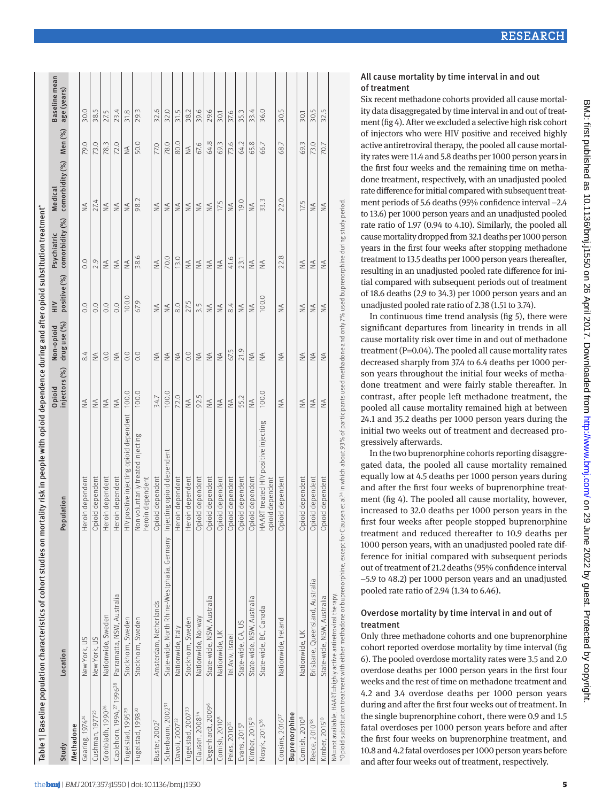|                                                                                                                                                                                                                                                                                                                                                                                  | Table 1   Baseline population characteristics of cohort studies on mor                                                                                                                                                                                                                                                                                                                                                                                                                                                                                                                                                                                                                                                                                                                                                                                            | tality risk in people with opioid dependence during and after opioid substitution treatment*                                                                                                                                                                                                                                                                                                                                                                                                                                                                                 |                                                                                                                                                                                                          |                                                                                                                                                                                                                     |                                                                                                                                                                                                                         |                                                                                                                                                                                                                                                                                     |                                                                                                                                                                                                                                                                             |                                                                                                                                                                     |                                                                                                                                                                                                                                          |
|----------------------------------------------------------------------------------------------------------------------------------------------------------------------------------------------------------------------------------------------------------------------------------------------------------------------------------------------------------------------------------|-------------------------------------------------------------------------------------------------------------------------------------------------------------------------------------------------------------------------------------------------------------------------------------------------------------------------------------------------------------------------------------------------------------------------------------------------------------------------------------------------------------------------------------------------------------------------------------------------------------------------------------------------------------------------------------------------------------------------------------------------------------------------------------------------------------------------------------------------------------------|------------------------------------------------------------------------------------------------------------------------------------------------------------------------------------------------------------------------------------------------------------------------------------------------------------------------------------------------------------------------------------------------------------------------------------------------------------------------------------------------------------------------------------------------------------------------------|----------------------------------------------------------------------------------------------------------------------------------------------------------------------------------------------------------|---------------------------------------------------------------------------------------------------------------------------------------------------------------------------------------------------------------------|-------------------------------------------------------------------------------------------------------------------------------------------------------------------------------------------------------------------------|-------------------------------------------------------------------------------------------------------------------------------------------------------------------------------------------------------------------------------------------------------------------------------------|-----------------------------------------------------------------------------------------------------------------------------------------------------------------------------------------------------------------------------------------------------------------------------|---------------------------------------------------------------------------------------------------------------------------------------------------------------------|------------------------------------------------------------------------------------------------------------------------------------------------------------------------------------------------------------------------------------------|
| Study                                                                                                                                                                                                                                                                                                                                                                            | Location                                                                                                                                                                                                                                                                                                                                                                                                                                                                                                                                                                                                                                                                                                                                                                                                                                                          | pulation<br>$\overline{PQ}$                                                                                                                                                                                                                                                                                                                                                                                                                                                                                                                                                  | Opioid<br>injectors (%)                                                                                                                                                                                  | Non-opioid<br>druguse (%)                                                                                                                                                                                           | positive (%)<br>$\geq$                                                                                                                                                                                                  | comorbidity (%)<br>Psychiatric                                                                                                                                                                                                                                                      | comorbidity (%) Men (%)<br>Medical                                                                                                                                                                                                                                          |                                                                                                                                                                     | Baseline mean<br>age (years)                                                                                                                                                                                                             |
| Methadone                                                                                                                                                                                                                                                                                                                                                                        |                                                                                                                                                                                                                                                                                                                                                                                                                                                                                                                                                                                                                                                                                                                                                                                                                                                                   |                                                                                                                                                                                                                                                                                                                                                                                                                                                                                                                                                                              |                                                                                                                                                                                                          |                                                                                                                                                                                                                     |                                                                                                                                                                                                                         |                                                                                                                                                                                                                                                                                     |                                                                                                                                                                                                                                                                             |                                                                                                                                                                     |                                                                                                                                                                                                                                          |
| Gearing, 1974 <sup>24</sup>                                                                                                                                                                                                                                                                                                                                                      | New York, US                                                                                                                                                                                                                                                                                                                                                                                                                                                                                                                                                                                                                                                                                                                                                                                                                                                      | Heroin dependent                                                                                                                                                                                                                                                                                                                                                                                                                                                                                                                                                             | $\stackrel{\triangle}{\geq}$                                                                                                                                                                             | $8.4\,$                                                                                                                                                                                                             | 0.0                                                                                                                                                                                                                     | 0.0                                                                                                                                                                                                                                                                                 | $\lessgtr$                                                                                                                                                                                                                                                                  | 79.0                                                                                                                                                                | 30.0                                                                                                                                                                                                                                     |
| Cushman, 1977 <sup>25</sup>                                                                                                                                                                                                                                                                                                                                                      | SU<br>New York,                                                                                                                                                                                                                                                                                                                                                                                                                                                                                                                                                                                                                                                                                                                                                                                                                                                   | Opioid dependent                                                                                                                                                                                                                                                                                                                                                                                                                                                                                                                                                             | $\vert \leq$                                                                                                                                                                                             | $\stackrel{\triangle}{\geq}$                                                                                                                                                                                        | $_{\odot}$                                                                                                                                                                                                              | 2.9                                                                                                                                                                                                                                                                                 | 27.4                                                                                                                                                                                                                                                                        | 73.0                                                                                                                                                                | 38.5                                                                                                                                                                                                                                     |
| Grönbladh, 1990 <sup>26</sup>                                                                                                                                                                                                                                                                                                                                                    | Nationwide, Sweden                                                                                                                                                                                                                                                                                                                                                                                                                                                                                                                                                                                                                                                                                                                                                                                                                                                | Heroin dependent                                                                                                                                                                                                                                                                                                                                                                                                                                                                                                                                                             | $\lessgtr$                                                                                                                                                                                               | $_{\rm 0.0}$                                                                                                                                                                                                        | $_{\odot}$                                                                                                                                                                                                              | $\stackrel{\triangle}{\geq}$                                                                                                                                                                                                                                                        |                                                                                                                                                                                                                                                                             | 78.3                                                                                                                                                                | 27.5                                                                                                                                                                                                                                     |
| 199628<br>Caplehorn, 1994,                                                                                                                                                                                                                                                                                                                                                       | Parramatta, NSW, Australia                                                                                                                                                                                                                                                                                                                                                                                                                                                                                                                                                                                                                                                                                                                                                                                                                                        | Heroin dependent                                                                                                                                                                                                                                                                                                                                                                                                                                                                                                                                                             | $\lessgtr$                                                                                                                                                                                               | $\stackrel{\triangle}{\geq}$                                                                                                                                                                                        | 0.0                                                                                                                                                                                                                     | $\stackrel{\triangle}{\geq}$                                                                                                                                                                                                                                                        | $\leq$ $\leq$                                                                                                                                                                                                                                                               | 72.0                                                                                                                                                                | 23.4                                                                                                                                                                                                                                     |
| Fugelstad, 1995 <sup>29</sup>                                                                                                                                                                                                                                                                                                                                                    | Sweden<br>Stockholm,                                                                                                                                                                                                                                                                                                                                                                                                                                                                                                                                                                                                                                                                                                                                                                                                                                              | HIV positive injecting opioid dependent                                                                                                                                                                                                                                                                                                                                                                                                                                                                                                                                      | 100.0                                                                                                                                                                                                    | $\overline{O}$ . O                                                                                                                                                                                                  | 100.0                                                                                                                                                                                                                   | $\stackrel{\triangle}{\geq}$                                                                                                                                                                                                                                                        | $\stackrel{\triangle}{\geq}$                                                                                                                                                                                                                                                | $\lessgtr$                                                                                                                                                          | 31.8                                                                                                                                                                                                                                     |
| Fugelstad, 1998 <sup>30</sup>                                                                                                                                                                                                                                                                                                                                                    | Stockholm, Sweden                                                                                                                                                                                                                                                                                                                                                                                                                                                                                                                                                                                                                                                                                                                                                                                                                                                 | Non voluntarily treated injecting<br>heroin dependent                                                                                                                                                                                                                                                                                                                                                                                                                                                                                                                        | 100.0                                                                                                                                                                                                    | 0.0                                                                                                                                                                                                                 | 67.9                                                                                                                                                                                                                    | 38.6                                                                                                                                                                                                                                                                                | 98.2                                                                                                                                                                                                                                                                        | 50.0                                                                                                                                                                | 29.3                                                                                                                                                                                                                                     |
| Buster, 2002 <sup>®</sup>                                                                                                                                                                                                                                                                                                                                                        | Amsterdam, Netherlands                                                                                                                                                                                                                                                                                                                                                                                                                                                                                                                                                                                                                                                                                                                                                                                                                                            | Opioid dependent                                                                                                                                                                                                                                                                                                                                                                                                                                                                                                                                                             | 34.7                                                                                                                                                                                                     | $\stackrel{\triangle}{\geq}$                                                                                                                                                                                        | $\stackrel{\triangle}{\geq}$                                                                                                                                                                                            | $\stackrel{\triangle}{\geq}$                                                                                                                                                                                                                                                        | $\lessgtr$                                                                                                                                                                                                                                                                  | 77.0                                                                                                                                                                | 32.6                                                                                                                                                                                                                                     |
| Scherbaum, 2002 <sup>31</sup>                                                                                                                                                                                                                                                                                                                                                    | Germany<br>State-wide, North Rhine-Westphalia,                                                                                                                                                                                                                                                                                                                                                                                                                                                                                                                                                                                                                                                                                                                                                                                                                    | Injecting opioid dependent                                                                                                                                                                                                                                                                                                                                                                                                                                                                                                                                                   | 100.0                                                                                                                                                                                                    | $\stackrel{\triangle}{\geq}$                                                                                                                                                                                        | $\stackrel{\triangle}{\geq}$                                                                                                                                                                                            | 70.0                                                                                                                                                                                                                                                                                | $\lessgtr$                                                                                                                                                                                                                                                                  | 78.0                                                                                                                                                                | 32.0                                                                                                                                                                                                                                     |
| Davoli, 2007 <sup>32</sup>                                                                                                                                                                                                                                                                                                                                                       | Nationwide, Italy                                                                                                                                                                                                                                                                                                                                                                                                                                                                                                                                                                                                                                                                                                                                                                                                                                                 | Heroin dependent                                                                                                                                                                                                                                                                                                                                                                                                                                                                                                                                                             | 72.0                                                                                                                                                                                                     | $\stackrel{\triangle}{\geq}$                                                                                                                                                                                        | 8.0                                                                                                                                                                                                                     | 13.0                                                                                                                                                                                                                                                                                | $\lesssim$                                                                                                                                                                                                                                                                  | 80.0                                                                                                                                                                | 31.5                                                                                                                                                                                                                                     |
| Fugelstad, 200733                                                                                                                                                                                                                                                                                                                                                                | Stockholm, Sweden                                                                                                                                                                                                                                                                                                                                                                                                                                                                                                                                                                                                                                                                                                                                                                                                                                                 | Heroin dependent                                                                                                                                                                                                                                                                                                                                                                                                                                                                                                                                                             | $\leq$                                                                                                                                                                                                   | $_{\rm 0.0}$                                                                                                                                                                                                        | 275                                                                                                                                                                                                                     | $\stackrel{\triangle}{\approx}$                                                                                                                                                                                                                                                     |                                                                                                                                                                                                                                                                             | $\preceq$                                                                                                                                                           | 38.2                                                                                                                                                                                                                                     |
| Clausen, 2008 <sup>34</sup>                                                                                                                                                                                                                                                                                                                                                      | Nationwide, Norway                                                                                                                                                                                                                                                                                                                                                                                                                                                                                                                                                                                                                                                                                                                                                                                                                                                | Opioid dependent                                                                                                                                                                                                                                                                                                                                                                                                                                                                                                                                                             | 92.5                                                                                                                                                                                                     | $\stackrel{\triangle}{\geq}$                                                                                                                                                                                        | 3.5                                                                                                                                                                                                                     | $\stackrel{\triangle}{\geq}$                                                                                                                                                                                                                                                        | ∣≨∣≨                                                                                                                                                                                                                                                                        | 67.6                                                                                                                                                                | 39.6                                                                                                                                                                                                                                     |
| Degenhardt, 20096                                                                                                                                                                                                                                                                                                                                                                | State-wide, NSW, Australia                                                                                                                                                                                                                                                                                                                                                                                                                                                                                                                                                                                                                                                                                                                                                                                                                                        | Opioid dependent                                                                                                                                                                                                                                                                                                                                                                                                                                                                                                                                                             | $\vert$                                                                                                                                                                                                  | $\stackrel{\triangle}{\geq}$                                                                                                                                                                                        | $\stackrel{\triangle}{\geq}$                                                                                                                                                                                            | $\stackrel{\triangle}{\geq}$                                                                                                                                                                                                                                                        | $\ensuremath{\mathop{\not\leq}\nolimits}$                                                                                                                                                                                                                                   | 64.8                                                                                                                                                                | 29.6                                                                                                                                                                                                                                     |
| Cornish, 2010 <sup>8</sup>                                                                                                                                                                                                                                                                                                                                                       | Nationwide, UK                                                                                                                                                                                                                                                                                                                                                                                                                                                                                                                                                                                                                                                                                                                                                                                                                                                    | Opioid dependent                                                                                                                                                                                                                                                                                                                                                                                                                                                                                                                                                             | $\lessgtr$                                                                                                                                                                                               | $\leq$                                                                                                                                                                                                              | $\stackrel{\triangle}{\geq}$                                                                                                                                                                                            | $\stackrel{\triangle}{\geq}$                                                                                                                                                                                                                                                        | 17.5                                                                                                                                                                                                                                                                        | 69.3                                                                                                                                                                | 30.1                                                                                                                                                                                                                                     |
| Peles, 2010 <sup>35</sup>                                                                                                                                                                                                                                                                                                                                                        | Tel Aviv, Israel                                                                                                                                                                                                                                                                                                                                                                                                                                                                                                                                                                                                                                                                                                                                                                                                                                                  | Opioid dependent                                                                                                                                                                                                                                                                                                                                                                                                                                                                                                                                                             | $\lessgtr$                                                                                                                                                                                               | 67.5                                                                                                                                                                                                                | $8.4\,$                                                                                                                                                                                                                 | 41.6                                                                                                                                                                                                                                                                                | $\lessgtr$                                                                                                                                                                                                                                                                  | 73.6                                                                                                                                                                | 37.6                                                                                                                                                                                                                                     |
| Evans, 2015 <sup>9</sup>                                                                                                                                                                                                                                                                                                                                                         | $\frac{2}{3}$<br>State-wide, CA,                                                                                                                                                                                                                                                                                                                                                                                                                                                                                                                                                                                                                                                                                                                                                                                                                                  | Opioid dependent                                                                                                                                                                                                                                                                                                                                                                                                                                                                                                                                                             | 55.2                                                                                                                                                                                                     | 21.9                                                                                                                                                                                                                | $\stackrel{\triangle}{\geq}$                                                                                                                                                                                            | 23.1                                                                                                                                                                                                                                                                                | 19.0                                                                                                                                                                                                                                                                        | 64.2                                                                                                                                                                | 35.3                                                                                                                                                                                                                                     |
| Kimber, 2015 <sup>10</sup>                                                                                                                                                                                                                                                                                                                                                       | Australia<br>State-wide, NSW,                                                                                                                                                                                                                                                                                                                                                                                                                                                                                                                                                                                                                                                                                                                                                                                                                                     | Opioid dependent                                                                                                                                                                                                                                                                                                                                                                                                                                                                                                                                                             | $\lessgtr$                                                                                                                                                                                               | $\stackrel{\triangle}{\geq}$                                                                                                                                                                                        | $\stackrel{\triangle}{\geq}$                                                                                                                                                                                            | $\stackrel{\triangle}{\geq}$                                                                                                                                                                                                                                                        | $\stackrel{\triangle}{\geq}$                                                                                                                                                                                                                                                | 65.8                                                                                                                                                                | 33.4                                                                                                                                                                                                                                     |
| Nosyk, 2015 <sup>36</sup>                                                                                                                                                                                                                                                                                                                                                        | State-wide, BC, Canada                                                                                                                                                                                                                                                                                                                                                                                                                                                                                                                                                                                                                                                                                                                                                                                                                                            | positive injecting<br>HAART treated HIV<br>opioid dependent                                                                                                                                                                                                                                                                                                                                                                                                                                                                                                                  | 100.0                                                                                                                                                                                                    | $\stackrel{\triangle}{\geq}$                                                                                                                                                                                        | 100.0                                                                                                                                                                                                                   | $\stackrel{\triangle}{\geq}$                                                                                                                                                                                                                                                        | 33.3                                                                                                                                                                                                                                                                        | 66.7                                                                                                                                                                | 36.0                                                                                                                                                                                                                                     |
| Cousins, $201637$                                                                                                                                                                                                                                                                                                                                                                | Nationwide, Ireland                                                                                                                                                                                                                                                                                                                                                                                                                                                                                                                                                                                                                                                                                                                                                                                                                                               | Opioid dependent                                                                                                                                                                                                                                                                                                                                                                                                                                                                                                                                                             | ₹                                                                                                                                                                                                        | $\stackrel{\triangle}{\geq}$                                                                                                                                                                                        | $\stackrel{\triangle}{\geq}$                                                                                                                                                                                            | 22.8                                                                                                                                                                                                                                                                                | 22.0                                                                                                                                                                                                                                                                        | 68.7                                                                                                                                                                | 30.5                                                                                                                                                                                                                                     |
| <b>Buprenorphine</b>                                                                                                                                                                                                                                                                                                                                                             |                                                                                                                                                                                                                                                                                                                                                                                                                                                                                                                                                                                                                                                                                                                                                                                                                                                                   |                                                                                                                                                                                                                                                                                                                                                                                                                                                                                                                                                                              |                                                                                                                                                                                                          |                                                                                                                                                                                                                     |                                                                                                                                                                                                                         |                                                                                                                                                                                                                                                                                     |                                                                                                                                                                                                                                                                             |                                                                                                                                                                     |                                                                                                                                                                                                                                          |
| Cornish, 2010 <sup>8</sup>                                                                                                                                                                                                                                                                                                                                                       | Nationwide, UK                                                                                                                                                                                                                                                                                                                                                                                                                                                                                                                                                                                                                                                                                                                                                                                                                                                    | ioid dependent<br>Ōpi                                                                                                                                                                                                                                                                                                                                                                                                                                                                                                                                                        | $\lessgtr$                                                                                                                                                                                               | $\stackrel{\triangle}{\geq}$                                                                                                                                                                                        | $\stackrel{\triangle}{\geq}$                                                                                                                                                                                            | $\stackrel{\triangle}{\geq}$                                                                                                                                                                                                                                                        | 17.5                                                                                                                                                                                                                                                                        | 69.3                                                                                                                                                                | 30.1                                                                                                                                                                                                                                     |
| Reece, 2010 <sup>38</sup>                                                                                                                                                                                                                                                                                                                                                        | Australia<br>Brisbane, Queensland,                                                                                                                                                                                                                                                                                                                                                                                                                                                                                                                                                                                                                                                                                                                                                                                                                                | Opioid dependent                                                                                                                                                                                                                                                                                                                                                                                                                                                                                                                                                             | $\leq$                                                                                                                                                                                                   | $\leq$                                                                                                                                                                                                              | $\leq$                                                                                                                                                                                                                  | $\stackrel{\triangle}{\geq}$                                                                                                                                                                                                                                                        | $\lessgtr$                                                                                                                                                                                                                                                                  | 73.0                                                                                                                                                                | 30.5                                                                                                                                                                                                                                     |
| Kimber, 2015 <sup>10</sup>                                                                                                                                                                                                                                                                                                                                                       | State-wide, NSW,                                                                                                                                                                                                                                                                                                                                                                                                                                                                                                                                                                                                                                                                                                                                                                                                                                                  | $\overline{\partial}$                                                                                                                                                                                                                                                                                                                                                                                                                                                                                                                                                        | $\lessgtr$                                                                                                                                                                                               | $\stackrel{\triangle}{\geq}$                                                                                                                                                                                        | $\stackrel{\triangle}{\geq}$                                                                                                                                                                                            | $\stackrel{\triangle}{\geq}$                                                                                                                                                                                                                                                        | $\lessgtr$                                                                                                                                                                                                                                                                  | 70.7                                                                                                                                                                | 32.5                                                                                                                                                                                                                                     |
| 4.2 and 3.4 overdose deaths per 1000 person<br>during and after the first four weeks out of treatme<br>the single buprenorphine cohort, there were 0.9 ar<br>fatal overdoses per 1000 person years before and<br>the first four weeks on buprenorphine treatment<br>10.8 and 4.2 fatal overdoses per 1000 person years b<br>and after four weeks out of treatment, respectively. | NA=not available; HAART=highly active antiretroviral therapy.<br>*Opioid substitution treatment with either methadone or buprenorphine, except for Clausen et al <sup>sa</sup> in which about 93% of participants used methadone and only 7<br>1000 person years, with an unadjusted pooled rat<br>ference for initial compared with subsequent pe<br>out of treatment of 21.2 deaths (95% confidence int<br>-5.9 to 48.2) per 1000 person years and an unadj<br>pooled rate ratio of 2.94 (1.34 to 6.46).<br>Australia<br>Overdose mortality by time interval in and out o<br>treatment<br>Only three methadone cohorts and one buprenorp<br>cohort reported overdose mortality by time interva<br>6). The pooled overdose mortality rates were 3.5 ar<br>overdose deaths per 1000 person years in the first<br>weeks and the rest of time on methadone treatmen | 24.1 and 35.2 deaths per 1000 person years durin<br>initial two weeks out of treatment and decreased<br>gressively afterwards.<br>In the two buprenorphine cohorts reporting disa<br>gated data, the pooled all cause mortality rema<br>equally low at 4.5 deaths per 1000 person years d<br>ioid dependent<br>and after the first four weeks of buprenorphine<br>ment (fig 4). The pooled all cause mortality, how<br>increased to 32.0 deaths per 1000 person years i<br>first four weeks after people stopped buprenorp<br>treatment and reduced thereafter to 10.9 death | son years throughout the initial four weeks of m<br>done treatment and were fairly stable thereaft<br>contrast, after people left methadone treatment<br>pooled all cause mortality remained high at bet | significant departures from linearity in trends i<br>cause mortality risk over time in and out of metha<br>treatment (P=0.04). The pooled all cause mortality<br>decreased sharply from 37.4 to 6.4 deaths per 1000 | tial compared with subsequent periods out of treat<br>of 18.6 deaths (2.9 to 34.3) per 1000 person years at<br>unadjusted pooled rate ratio of 2.38 (1.51 to 3.74).<br>In continuous time trend analysis (fig 5), there | rate ratio of 1.97 (0.94 to 4.10). Similarly, the pool<br>cause mortality dropped from 32.1 deaths per 1000 p<br>years in the first four weeks after stopping metha<br>treatment to 13.5 deaths per 1000 person years there<br>resulting in an unadjusted pooled rate difference fo | the first four weeks and the remaining time on m<br>done treatment, respectively, with an unadjusted po<br>rate difference for initial compared with subsequent<br>ment periods of 5.6 deaths (95% confidence interva<br>to 13.6) per 1000 person years and an unadjusted p | of injectors who were HIV positive and received h<br>active antiretroviral therapy, the pooled all cause m<br>ity rates were 11.4 and 5.8 deaths per 1000 person ye | All cause mortality by time interval in and out<br>of treatment<br>Six recent methadone cohorts provided all cause m<br>ity data disaggregated by time interval in and out of<br>ment (fig 4). After we excluded a selective high risk c |

## RESEARCH

### All cause mortality by time interval in and out of treatment

Six recent methadone cohorts provided all cause mortality data disaggregated by time interval in and out of treatment (fig 4). After we excluded a selective high risk cohort of injectors who were HIV positive and received highly active antiretroviral therapy, the pooled all cause mortality rates were 11.4 and 5.8 deaths per 1000 person years in the first four weeks and the remaining time on methadone treatment, respectively, with an unadjusted pooled rate difference for initial compared with subsequent treatment periods of 5.6 deaths (95% confidence interval −2.4 to 13.6) per 1000 person years and an unadjusted pooled rate ratio of 1.97 (0.94 to 4.10). Similarly, the pooled all cause mortality dropped from 32.1 deaths per 1000 person years in the first four weeks after stopping methadone treatment to 13.5 deaths per 1000 person years thereafter, resulting in an unadjusted pooled rate difference for initial compared with subsequent periods out of treatment of 18.6 deaths (2.9 to 34.3) per 1000 person years and an unadjusted pooled rate ratio of 2.38 (1.51 to 3.74).

In continuous time trend analysis (fig 5), there were significant departures from linearity in trends in all cause mortality risk over time in and out of methadone treatment (P=0.04). The pooled all cause mortality rates decreased sharply from 37.4 to 6.4 deaths per 1000 person years throughout the initial four weeks of methadone treatment and were fairly stable thereafter. In contrast, after people left methadone treatment, the pooled all cause mortality remained high at between 24.1 and 35.2 deaths per 1000 person years during the initial two weeks out of treatment and decreased progressively afterwards.

In the two buprenorphine cohorts reporting disaggregated data, the pooled all cause mortality remained equally low at 4.5 deaths per 1000 person years during and after the first four weeks of buprenorphine treatment (fig 4). The pooled all cause mortality, however, increased to 32.0 deaths per 1000 person years in the first four weeks after people stopped buprenorphine treatment and reduced thereafter to 10.9 deaths per 1000 person years, with an unadjusted pooled rate difference for initial compared with subsequent periods out of treatment of 21.2 deaths (95% confidence interval −5.9 to 48.2) per 1000 person years and an unadjusted pooled rate ratio of 2.94 (1.34 to 6.46).

## Overdose mortality by time interval in and out of treatment

Only three methadone cohorts and one buprenorphine cohort reported overdose mortality by time interval (fig 6). The pooled overdose mortality rates were 3.5 and 2.0 overdose deaths per 1000 person years in the first four weeks and the rest of time on methadone treatment and 4.2 and 3.4 overdose deaths per 1000 person years during and after the first four weeks out of treatment. In the single buprenorphine cohort, there were 0.9 and 1.5 fatal overdoses per 1000 person years before and after the first four weeks on buprenorphine treatment, and 10.8 and 4.2 fatal overdoses per 1000 person years before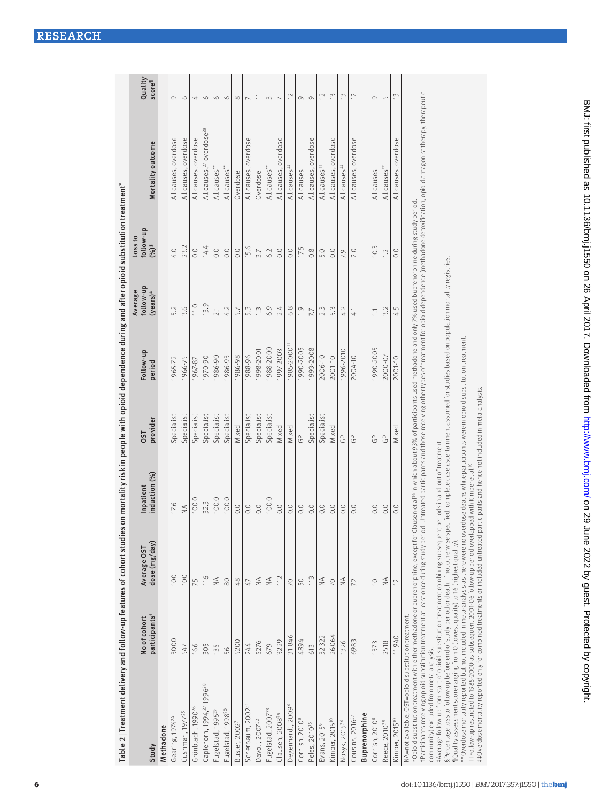| Table 2   Treatment delivery and follow-up features of cohort studies                                                                                                                                                                                                                                                                                                                                                                                                                                                                                                                                                                                                                                                                                                                                                                                                                                                                                                                                                                                                                                                            |                                           |                              | on mortality risk in people with opioid dependence during and after opioid substitution treatment" |                        |                        |                                                |                                             |                                                                                                                                                                                                                                |                                |
|----------------------------------------------------------------------------------------------------------------------------------------------------------------------------------------------------------------------------------------------------------------------------------------------------------------------------------------------------------------------------------------------------------------------------------------------------------------------------------------------------------------------------------------------------------------------------------------------------------------------------------------------------------------------------------------------------------------------------------------------------------------------------------------------------------------------------------------------------------------------------------------------------------------------------------------------------------------------------------------------------------------------------------------------------------------------------------------------------------------------------------|-------------------------------------------|------------------------------|----------------------------------------------------------------------------------------------------|------------------------|------------------------|------------------------------------------------|---------------------------------------------|--------------------------------------------------------------------------------------------------------------------------------------------------------------------------------------------------------------------------------|--------------------------------|
| Study                                                                                                                                                                                                                                                                                                                                                                                                                                                                                                                                                                                                                                                                                                                                                                                                                                                                                                                                                                                                                                                                                                                            | participants <sup>†</sup><br>No of cohort | Average OST<br>dose (mg/day) | induction (%)<br>Inpatient                                                                         | provider<br><b>OST</b> | Follow-up<br>period    | follow-up<br>Average<br>$(years)$ <sup>#</sup> | follow-up<br>Loss to<br>$(96)$ <sup>§</sup> | Mortality outcome                                                                                                                                                                                                              | Quality<br>score <sup>11</sup> |
| Methadone                                                                                                                                                                                                                                                                                                                                                                                                                                                                                                                                                                                                                                                                                                                                                                                                                                                                                                                                                                                                                                                                                                                        |                                           |                              |                                                                                                    |                        |                        |                                                |                                             |                                                                                                                                                                                                                                |                                |
| Gearing, 1974 <sup>24</sup>                                                                                                                                                                                                                                                                                                                                                                                                                                                                                                                                                                                                                                                                                                                                                                                                                                                                                                                                                                                                                                                                                                      | 3000                                      | 100                          | 17.6                                                                                               | Specialist             | 1965-72                | 5.2                                            | 4.0                                         | All causes, overdose                                                                                                                                                                                                           | $\circ$                        |
| Cushman, 1977 <sup>25</sup>                                                                                                                                                                                                                                                                                                                                                                                                                                                                                                                                                                                                                                                                                                                                                                                                                                                                                                                                                                                                                                                                                                      | 547                                       | 100                          | $\frac{4}{2}$                                                                                      | Specialist             | 1966-75                | 3.6                                            | 23.                                         | All causes, overdose                                                                                                                                                                                                           | $\circ$                        |
| Grönbladh, 1990 <sup>26</sup>                                                                                                                                                                                                                                                                                                                                                                                                                                                                                                                                                                                                                                                                                                                                                                                                                                                                                                                                                                                                                                                                                                    | 166                                       | 75                           | 100.0                                                                                              | Specialist             | 1967-87                | 11.0                                           | O.0                                         | overdose<br>All causes,                                                                                                                                                                                                        | ィ                              |
| Caplehorn, 1994, <sup>27</sup> 1996 <sup>28</sup>                                                                                                                                                                                                                                                                                                                                                                                                                                                                                                                                                                                                                                                                                                                                                                                                                                                                                                                                                                                                                                                                                | 305                                       | 116                          | 32.3                                                                                               | Specialist             | 06-0261                | $\circ$<br>$\frac{1}{2}$                       | 14.4                                        | overdose <sup>28</sup><br>All causes, <sup>27</sup>                                                                                                                                                                            | $\circ$                        |
| Fugelstad, 1995 <sup>29</sup>                                                                                                                                                                                                                                                                                                                                                                                                                                                                                                                                                                                                                                                                                                                                                                                                                                                                                                                                                                                                                                                                                                    | 135                                       | $\lessapprox$                | 100.0                                                                                              | Specialist             | 1986-90                | 21                                             | $\overline{0}$                              | All causes"                                                                                                                                                                                                                    | $\circ$                        |
| Fugelstad, 1998 <sup>30</sup>                                                                                                                                                                                                                                                                                                                                                                                                                                                                                                                                                                                                                                                                                                                                                                                                                                                                                                                                                                                                                                                                                                    | 56                                        | 80                           | 100.0                                                                                              | Specialist             | 1986-93                | 4.2                                            | 0.0                                         | All causes"                                                                                                                                                                                                                    | $\circ$                        |
| Buster, 2002 <sup>7</sup>                                                                                                                                                                                                                                                                                                                                                                                                                                                                                                                                                                                                                                                                                                                                                                                                                                                                                                                                                                                                                                                                                                        | 5200                                      | 48                           | 0.0                                                                                                | Mixed                  | 1986-98                | 5.7                                            | 0.0                                         | Overdose                                                                                                                                                                                                                       | $\infty$                       |
| Scherbaum, 2002 <sup>31</sup>                                                                                                                                                                                                                                                                                                                                                                                                                                                                                                                                                                                                                                                                                                                                                                                                                                                                                                                                                                                                                                                                                                    | 244                                       | 7                            | 0.0                                                                                                | Specialist             | 1988-96                | 5.3                                            | 15.6                                        | All causes, overdose                                                                                                                                                                                                           | $\sim$                         |
| Davoli, 2007 <sup>32</sup>                                                                                                                                                                                                                                                                                                                                                                                                                                                                                                                                                                                                                                                                                                                                                                                                                                                                                                                                                                                                                                                                                                       | 5276                                      | $\lessapprox$                | 0.0                                                                                                | Specialist             | 1998-2001              | $\frac{3}{2}$                                  | 3.7                                         | Overdose                                                                                                                                                                                                                       | 든                              |
| Fugelstad, 200733                                                                                                                                                                                                                                                                                                                                                                                                                                                                                                                                                                                                                                                                                                                                                                                                                                                                                                                                                                                                                                                                                                                | 679                                       | $\frac{1}{2}$                | 100.0                                                                                              | Specialist             | 1988-2000              | 6.9                                            | 6.2                                         | All causes**                                                                                                                                                                                                                   | $\sim$                         |
| Clausen, 2008 <sup>34</sup>                                                                                                                                                                                                                                                                                                                                                                                                                                                                                                                                                                                                                                                                                                                                                                                                                                                                                                                                                                                                                                                                                                      | 3229                                      | 112                          | 0.0                                                                                                | Mixed                  | 1997-2003              | 2.4                                            | 0.0                                         | overdose<br>All causes,                                                                                                                                                                                                        | $\sim$                         |
| Degenhardt, 2009 <sup>6</sup>                                                                                                                                                                                                                                                                                                                                                                                                                                                                                                                                                                                                                                                                                                                                                                                                                                                                                                                                                                                                                                                                                                    | 31846                                     | 20                           | 0.0                                                                                                | Mixed                  | 1985-2000 <sup>+</sup> | 6.8                                            | 0.0                                         | All causes#                                                                                                                                                                                                                    | $\supseteq$                    |
| Cornish, 2010 <sup>8</sup>                                                                                                                                                                                                                                                                                                                                                                                                                                                                                                                                                                                                                                                                                                                                                                                                                                                                                                                                                                                                                                                                                                       | 4894                                      | 50                           | $_{\odot}$                                                                                         | $\frac{\rho}{\sigma}$  | 1990-2005              | $\overline{0}$                                 | 17.5                                        | All causes                                                                                                                                                                                                                     | $\circ$                        |
| Peles, 2010 <sup>35</sup>                                                                                                                                                                                                                                                                                                                                                                                                                                                                                                                                                                                                                                                                                                                                                                                                                                                                                                                                                                                                                                                                                                        | 613                                       | 113                          | $_{\odot}$                                                                                         | Specialist             | 1993-2008              | 77                                             | 0.8                                         | All causes, overdose                                                                                                                                                                                                           | $\circ$                        |
| Evans, 2015 <sup>9</sup>                                                                                                                                                                                                                                                                                                                                                                                                                                                                                                                                                                                                                                                                                                                                                                                                                                                                                                                                                                                                                                                                                                         | 32322                                     | $\lessgtr$                   | 0.0                                                                                                | Specialist             | 2006-10                | 2.3                                            | 5.0                                         | All causes#                                                                                                                                                                                                                    | $\overline{c}$                 |
| Kimber, 2015 <sup>10</sup>                                                                                                                                                                                                                                                                                                                                                                                                                                                                                                                                                                                                                                                                                                                                                                                                                                                                                                                                                                                                                                                                                                       | 26064                                     | 20                           | 0.0                                                                                                | Mixed                  | 2001-10                | 5.3                                            | 0.0                                         | All causes, overdose                                                                                                                                                                                                           | $\widetilde{\Box}$             |
| Nosyk, 2015 <sup>36</sup>                                                                                                                                                                                                                                                                                                                                                                                                                                                                                                                                                                                                                                                                                                                                                                                                                                                                                                                                                                                                                                                                                                        | 1326                                      | $\stackrel{\triangle}{\geq}$ | 0.0                                                                                                | $\overline{G}$         | 1996-2010              | 4.2                                            | 7.9                                         | All causes <sup>##</sup>                                                                                                                                                                                                       | $\frac{1}{2}$                  |
| Cousins, $2016^{37}$                                                                                                                                                                                                                                                                                                                                                                                                                                                                                                                                                                                                                                                                                                                                                                                                                                                                                                                                                                                                                                                                                                             | 6983                                      | 72                           | 0.0                                                                                                | $\frac{\rho}{\sigma}$  | 2004-10                | $\overline{41}$                                | 2.0                                         | overdose<br>causes,<br>$\overline{\overline{A}}$                                                                                                                                                                               | $\overline{C}$                 |
| Buprenorphine                                                                                                                                                                                                                                                                                                                                                                                                                                                                                                                                                                                                                                                                                                                                                                                                                                                                                                                                                                                                                                                                                                                    |                                           |                              |                                                                                                    |                        |                        |                                                |                                             |                                                                                                                                                                                                                                |                                |
| Cornish, 2010 <sup>8</sup>                                                                                                                                                                                                                                                                                                                                                                                                                                                                                                                                                                                                                                                                                                                                                                                                                                                                                                                                                                                                                                                                                                       | 1373                                      | $\supseteq$                  | 0.0                                                                                                | $\frac{\rho}{\sigma}$  | 1990-2005              | Ξ                                              | 10.3                                        | All causes                                                                                                                                                                                                                     | $\circ$                        |
| Reece, 2010 <sup>38</sup>                                                                                                                                                                                                                                                                                                                                                                                                                                                                                                                                                                                                                                                                                                                                                                                                                                                                                                                                                                                                                                                                                                        | 2518                                      | $\lessapprox$                | 0.0                                                                                                | $\frac{\rho}{\sigma}$  | 2000-07                | 3.2                                            | $\overline{12}$                             | All causes**                                                                                                                                                                                                                   | $\overline{L}$                 |
| Kimber, 2015 <sup>10</sup>                                                                                                                                                                                                                                                                                                                                                                                                                                                                                                                                                                                                                                                                                                                                                                                                                                                                                                                                                                                                                                                                                                       | 11940                                     | $\overline{C}$               | 0.0                                                                                                | Mixed                  | 2001-10                | 4.5                                            | 0.0                                         | All causes, overdose                                                                                                                                                                                                           | $\tilde{c}$                    |
| *Opioid substitution treatment with either methadone or buprenorphine, except for Clausen et al <sup>34</sup> in which about 93% of participants used methadone and only 7% used buprenorphine during study period.<br>SPercentage loss to follow-up before end of study period or death. If not otherwise specified, complete case ascertainment assumed for studies based on population mortality registries.<br>**Overdose mortality reported but not included in meta-analysis as there were no overdose deaths while participants were in opioid substitution treatment.<br>##Qverdose mortality reported only for combined treatments or included untreated participants and hence not included in meta-analysis<br>ttFollow-up restricted to 1985-2000 as subsequent 2001-06 follow-up period overlapped with Kimber et al. <sup>10</sup><br>#Average follow-up from start of opioid substitution treatment combining subsequent<br>"Quality assessment score ranging from 0 (lowest quality) to 16 (highest quality).<br>NA=not available; OST=opioid substitution treatment.<br>community) excluded from meta-analysis. |                                           |                              | periods in and out of treatment.                                                                   |                        |                        |                                                |                                             | tParticipants receiving opioid substitution treatment at least once during study period. Untreated participants and those receiving other types of treatment for opioid dependence (methadone detoxification, opioid antagonis |                                |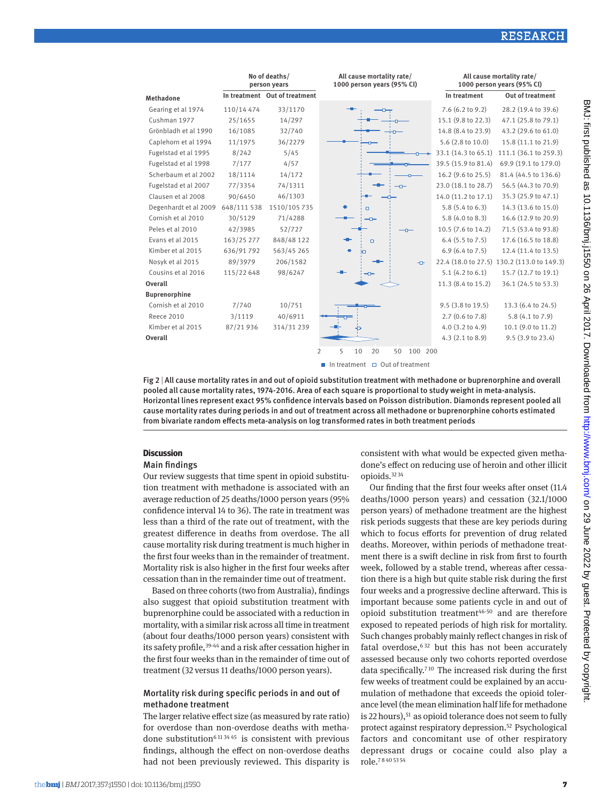|                       |             | No of deaths/<br>person years | All cause mortality rate/<br>1000 person years (95% CI) |                            | All cause mortality rate/<br>1000 person years (95% CI) |
|-----------------------|-------------|-------------------------------|---------------------------------------------------------|----------------------------|---------------------------------------------------------|
| Methadone             |             | In treatment Out of treatment |                                                         | In treatment               | Out of treatment                                        |
| Gearing et al 1974    | 110/14 474  | 33/1170                       |                                                         | $7.6$ (6.2 to 9.2)         | 28.2 (19.4 to 39.6)                                     |
| Cushman 1977          | 25/1655     | 14/297                        |                                                         | 15.1 (9.8 to 22.3)         | 47.1 (25.8 to 79.1)                                     |
| Grönbladh et al 1990  | 16/1085     | 32/740                        |                                                         | 14.8 (8.4 to 23.9)         | 43.2 (29.6 to 61.0)                                     |
| Caplehorn et al 1994  | 11/1975     | 36/2279                       |                                                         | 5.6 (2.8 to 10.0)          | 15.8 (11.1 to 21.9)                                     |
| Fugelstad et al 1995  | 8/242       | 5/45                          |                                                         | 33.1 (14.3 to 65.1)        | 111.1 (36.1 to 259.3)                                   |
| Fugelstad et al 1998  | 7/177       | 4/57                          |                                                         | 39.5 (15.9 to 81.4)        | 69.9 (19.1 to 179.0)                                    |
| Scherbaum et al 2002  | 18/1114     | 14/172                        |                                                         | 16.2 (9.6 to 25.5)         | 81.4 (44.5 to 136.6)                                    |
| Fugelstad et al 2007  | 77/3354     | 74/1311                       | ╍                                                       | 23.0 (18.1 to 28.7)        | 56.5 (44.3 to 70.9)                                     |
| Clausen et al 2008    | 90/6450     | 46/1303                       |                                                         | 14.0 (11.2 to 17.1)        | 35.3 (25.9 to 47.1)                                     |
| Degenhardt et al 2009 | 648/111 538 | 1510/105 735                  | $\Box$                                                  | $5.8(5.4 \text{ to } 6.3)$ | 14.3 (13.6 to 15.0)                                     |
| Cornish et al 2010    | 30/5129     | 71/4288                       |                                                         | 5.8 (4.0 to 8.3)           | 16.6 (12.9 to 20.9)                                     |
| Peles et al 2010      | 42/3985     | 52/727                        |                                                         | 10.5 (7.6 to 14.2)         | 71.5 (53.4 to 93.8)                                     |
| Evans et al 2015      | 163/25 277  | 848/48 122                    | $\Box$                                                  | $6.4$ $(5.5$ to $7.5)$     | 17.6 (16.5 to 18.8)                                     |
| Kimber et al 2015     | 636/91792   | 563/45 265                    | ۰<br>łп.                                                | $6.9(6.4 \text{ to } 7.5)$ | 12.4 (11.4 to 13.5)                                     |
| Nosyk et al 2015      | 89/3979     | 206/1582                      | $\overline{a}$                                          |                            | 22.4 (18.0 to 27.5) 130.2 (113.0 to 149.3)              |
| Cousins et al 2016    | 115/22 648  | 98/6247                       |                                                         | $5.1$ (4.2 to 6.1)         | 15.7 (12.7 to 19.1)                                     |
| Overall               |             |                               |                                                         | 11.3 (8.4 to 15.2)         | 36.1 (24.5 to 53.3)                                     |
| <b>Buprenorphine</b>  |             |                               |                                                         |                            |                                                         |
| Cornish et al 2010    | 7/740       | 10/751                        |                                                         | $9.5$ (3.8 to 19.5)        | 13.3 (6.4 to 24.5)                                      |
| Reece 2010            | 3/1119      | 40/6911                       |                                                         | $2.7(0.6 \text{ to } 7.8)$ | 5.8 (4.1 to 7.9)                                        |
| Kimber et al 2015     | 87/21 936   | 314/31 239                    |                                                         | $4.0$ $(3.2$ to $4.9)$     | 10.1 (9.0 to 11.2)                                      |
| Overall               |             |                               |                                                         | $4.3$ $(2.1$ to $8.9)$     | 9.5 (3.9 to 23.4)                                       |
|                       |             |                               | 5<br>20<br>$\overline{2}$<br>10<br>50<br>100 200        |                            |                                                         |
|                       |             |                               | □ Out of treatment<br>$\blacksquare$ In treatment       |                            |                                                         |

Fig 2 | All cause mortality rates in and out of opioid substitution treatment with methadone or buprenorphine and overall pooled all cause mortality rates, 1974-2016. Area of each square is proportional to study weight in meta-analysis. Horizontal lines represent exact 95% confidence intervals based on Poisson distribution. Diamonds represent pooled all cause mortality rates during periods in and out of treatment across all methadone or buprenorphine cohorts estimated from bivariate random effects meta-analysis on log transformed rates in both treatment periods

#### **Discussion**

#### Main findings

Our review suggests that time spent in opioid substitution treatment with methadone is associated with an average reduction of 25 deaths/1000 person years (95% confidence interval 14 to 36). The rate in treatment was less than a third of the rate out of treatment, with the greatest difference in deaths from overdose. The all cause mortality risk during treatment is much higher in the first four weeks than in the remainder of treatment. Mortality risk is also higher in the first four weeks after cessation than in the remainder time out of treatment.

Based on three cohorts (two from Australia), findings also suggest that opioid substitution treatment with buprenorphine could be associated with a reduction in mortality, with a similar risk across all time in treatment (about four deaths/1000 person years) consistent with its safety profile,<sup>39-44</sup> and a risk after cessation higher in the first four weeks than in the remainder of time out of treatment (32 versus 11 deaths/1000 person years).

## Mortality risk during specific periods in and out of methadone treatment

The larger relative effect size (as measured by rate ratio) for overdose than non-overdose deaths with methadone substitution<sup>6113445</sup> is consistent with previous findings, although the effect on non-overdose deaths had not been previously reviewed. This disparity is

consistent with what would be expected given methadone's effect on reducing use of heroin and other illicit opioids.32 <sup>34</sup>

Our finding that the first four weeks after onset (11.4 deaths/1000 person years) and cessation (32.1/1000 person years) of methadone treatment are the highest risk periods suggests that these are key periods during which to focus efforts for prevention of drug related deaths. Moreover, within periods of methadone treatment there is a swift decline in risk from first to fourth week, followed by a stable trend, whereas after cessation there is a high but quite stable risk during the first four weeks and a progressive decline afterward. This is important because some patients cycle in and out of opioid substitution treatment<sup>46-50</sup> and are therefore exposed to repeated periods of high risk for mortality. Such changes probably mainly reflect changes in risk of fatal overdose, $632$  but this has not been accurately assessed because only two cohorts reported overdose data specifically.7 10 The increased risk during the first few weeks of treatment could be explained by an accumulation of methadone that exceeds the opioid tolerance level (the mean elimination half life for methadone is 22 hours),<sup>51</sup> as opioid tolerance does not seem to fully protect against respiratory depression.52 Psychological factors and concomitant use of other respiratory depressant drugs or cocaine could also play a role.7 <sup>8</sup> <sup>40</sup> <sup>53</sup> <sup>54</sup>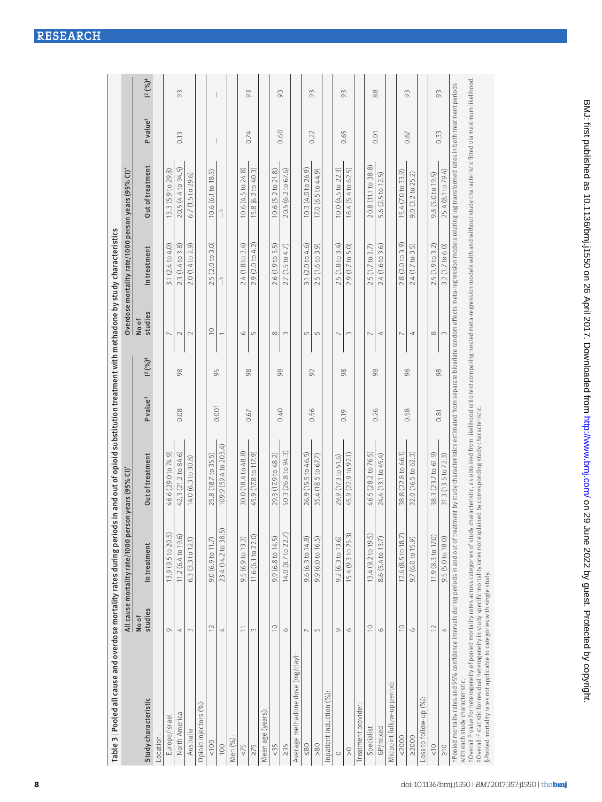| <b>RESEARCH</b> |  |
|-----------------|--|
|                 |  |

| Table 3   Pooled all cause and overdose mortality rates during periods in and out of opioid substitution treatment with methadone by study characteristics |                     |                                   |                                                                                                                                                                     |                      |                           |                          |                                                     |                             |                      |                          |
|------------------------------------------------------------------------------------------------------------------------------------------------------------|---------------------|-----------------------------------|---------------------------------------------------------------------------------------------------------------------------------------------------------------------|----------------------|---------------------------|--------------------------|-----------------------------------------------------|-----------------------------|----------------------|--------------------------|
|                                                                                                                                                            |                     | All cause mortality rate/1000 per | son years $(95\%$ CI) <sup>*</sup>                                                                                                                                  |                      |                           |                          | Overdose mortality rate/1000 person years (95% CI)* |                             |                      |                          |
| Study characteristic                                                                                                                                       | studies<br>No of    | In treatment                      | Out of treatment                                                                                                                                                    | P value <sup>t</sup> | $1^{2} (%)^{\frac{1}{2}}$ | studies<br>No of         | In treatment                                        | Out of treatment            | P value <sup>t</sup> | $1^{2} (9/6)^{4}$        |
| Location:                                                                                                                                                  |                     |                                   |                                                                                                                                                                     |                      |                           |                          |                                                     |                             |                      |                          |
| Europe/Israel                                                                                                                                              | $\mathbb{O}$        | 5<br>13.9 (9.5 to 20.             | 46.6 (29.0 to 74.9)                                                                                                                                                 |                      |                           | $\overline{ }$           | 3.1 $(2.4 to 4.0)$                                  | 13.3 (5.9 to 29.8)          |                      |                          |
| North America                                                                                                                                              | 4                   | $11.2(6.4 \text{ to } 19.6)$      | 42.3 (21.2 to 84.6)                                                                                                                                                 | 0.08                 | 98                        | $\sim$                   | 2.3 (1.4 to 3.8)                                    | 20.5 (4.4 to 94.5)          | 0.13                 | 93                       |
| Australia                                                                                                                                                  | $\sim$              | 6.3(3.3 to 12.1)                  | 14.0 (6.3 to 30.8)                                                                                                                                                  |                      |                           | $\sim$                   | 2.0(1.4 to 2.9)                                     | $6.7(1.5 \text{ to } 29.6)$ |                      |                          |
| Opioid injectors (%)                                                                                                                                       |                     |                                   |                                                                                                                                                                     |                      |                           |                          |                                                     |                             |                      |                          |
| $<100$                                                                                                                                                     | $\tilde{c}$         | 9.0(6.9 t 011.7)                  | 25.8 (18.7 to 35.5)                                                                                                                                                 |                      |                           | $\supseteq$              | 2.5 (2.0 to 3.0)                                    | 10.6 (6.1 to 18.5)          |                      |                          |
| 100                                                                                                                                                        | 4                   | 38.5)<br>$\circ$<br>23.4 (14.2    | 109.9 (59.4 to 203.4)                                                                                                                                               | 0.001                | 95                        | $\overline{\phantom{0}}$ |                                                     | $\tilde{a}$                 | ı                    | $\overline{\phantom{a}}$ |
| Men (%):                                                                                                                                                   |                     |                                   |                                                                                                                                                                     |                      |                           |                          |                                                     |                             |                      |                          |
| 5/2                                                                                                                                                        | 드                   | $9.5(6.9 \text{ to } 13.2)$       | 30.0 (18.4 to 48.8)                                                                                                                                                 |                      |                           | $\circ$                  | 2.4 (1.8 to 3.4)                                    | ∞<br>10.6 (4.5 to 24.       |                      |                          |
| $\geq$ 75                                                                                                                                                  | $\sim$              | 11.6 (6.1 to 22.0)                | 45.9 (17.8 to 117.9)                                                                                                                                                | 0.67                 | 98                        | $\overline{L}$           | 2.9 (2.0 to 4.2)                                    | 15.8 (6.2 to 40.3)          | 0.74                 | 93                       |
| Mean age (years)                                                                                                                                           |                     |                                   |                                                                                                                                                                     |                      |                           |                          |                                                     |                             |                      |                          |
| 55                                                                                                                                                         | $\supseteq$         | 9.9 (6.8 to 14.5)                 | 29.3 (17.9 to 48.2)                                                                                                                                                 |                      |                           | $\infty$                 | 2.6 (1.9 to 3.5)                                    | 10.6 (5.2 to 21.8)          |                      |                          |
| $\geq 35$                                                                                                                                                  | $\circ$             | 22.7)<br>$(8.7)$ to<br>14.0       | 50.3 (26.8 to 94.3)                                                                                                                                                 | 0.40                 | 98                        | $\curvearrowright$       | (1.5 to 4.7)<br>2.7                                 | 20.5 (6.2 to 67.6)          | 0.60                 | 93                       |
| methadone dose (mg/day):<br>Average                                                                                                                        |                     |                                   |                                                                                                                                                                     |                      |                           |                          |                                                     |                             |                      |                          |
| 580                                                                                                                                                        | $\sim$              | œ.<br>9.6 (6.3 to 14.             | 26.9 (15.5 to 46.5)                                                                                                                                                 |                      |                           | $\overline{5}$           | 3.1 $(2.0 to 4.6)$                                  | 10.3 (4.0 to 26.9)          |                      |                          |
| $>80$                                                                                                                                                      | $\mathsf{L}\cap$    | 9.9 (6.0 to 16.5)                 | 35.4 (18.5 to 67.7)                                                                                                                                                 | 0.56                 | 92                        | $\mathsf{L}\cap$         | 2.5(1.6 to 3.9)                                     | 17.0 (6.5 to 44.9)          | 0.22                 | 93                       |
| Inpatient induction (%)                                                                                                                                    |                     |                                   |                                                                                                                                                                     |                      |                           |                          |                                                     |                             |                      |                          |
| $\circ$                                                                                                                                                    | $\circlearrowright$ | 9.2 (6.3 to 13.6)                 | 29.9 (17.3 to 51.6)                                                                                                                                                 |                      |                           | $\overline{ }$           | 2.5(1.8 to 3.4)                                     | 10.0 (4.5 to 22.3)          |                      |                          |
| $\lambda$                                                                                                                                                  | $\circ$             | 15.4 (9.3 to 25.3)                | 45.9 (22.9 to 92.1)                                                                                                                                                 | 0.19                 | 98                        | $\sim$                   | 2.9 (1.7 to 5.0)                                    | cy.<br>18.4 (5.4 to 62)     | 0.65                 | 93                       |
| reatment provider:                                                                                                                                         |                     |                                   |                                                                                                                                                                     |                      |                           |                          |                                                     |                             |                      |                          |
| Specialist                                                                                                                                                 | $\supseteq$         | G<br>13.4 (9.2 to 19.             | 46.5 (28.2 to 76.5)                                                                                                                                                 |                      |                           | $\overline{ }$           | $2.5(1.7)$ to $3.7$                                 | 20.8 (11.1 to 38.8)         |                      |                          |
| GP/mixed                                                                                                                                                   | $\circ$             | 8.6 (5.4 to 13.7)                 | 24.4 (13.1 to 45.4)                                                                                                                                                 | 0.26                 | 98                        | $\overline{\phantom{a}}$ | 2.4(1.6 to 3.6)                                     | 5.6 (2.5 to 12.5)           | 0.01                 | 88                       |
| Midpoint follow-up period:                                                                                                                                 |                     |                                   |                                                                                                                                                                     |                      |                           |                          |                                                     |                             |                      |                          |
| 2000                                                                                                                                                       | $\overline{0}$      | 12.6(8.5 to 18.7)                 | 38.8 (22.8 to 66.1)                                                                                                                                                 |                      |                           | $\overline{ }$           | $2.8(2.0 \text{ to } 3.9)$                          | 15.4 (7.0 to 33.9)          |                      |                          |
| 22000                                                                                                                                                      | $\circ$             | T.<br>(6.0 to 15.<br>9.7          | 32.0 (16.5 to 62.3)                                                                                                                                                 | 0.58                 | 98                        | 4                        | 2.4 (1.7 to 3.5)                                    | 9.0 (3.2 to 25.2)           | 0.67                 | 93                       |
| $\circledS$<br>Loss to follow-up                                                                                                                           |                     |                                   |                                                                                                                                                                     |                      |                           |                          |                                                     |                             |                      |                          |
| $rac{1}{\sqrt{2}}$                                                                                                                                         | $\overline{c}$      | 11.9 (8.3 to 17.0)                | 38.3 (23.7 to 61.9)                                                                                                                                                 | 0.81                 |                           | $\infty$                 | 2.5 (1.9 to 3.2)                                    | 9.8 (5.0 to 19.5)           |                      |                          |
| $\geq 10$                                                                                                                                                  | 4                   | 9.5 (5.0 to 18.0)                 | 31.3(13.5 to 72.3)                                                                                                                                                  |                      | 98                        | $\sim$                   | 3.2(1.7 to 6.0)                                     | 25.4 (8.1 to 79.4)          | 0.33                 | 93                       |
| *Pooled mortality rates and 95% confidence intervals during periods in and out of trea                                                                     |                     |                                   | tment by study characteristics estimated from separate bivariate random effects meta-regression models relating log transformed rates in both treatment periods     |                      |                           |                          |                                                     |                             |                      |                          |
| t Overall P value for heterogeneity of pooled mortality rates across categories of study<br>with each study characteristic.                                |                     |                                   | characteristic, as obtained from likelihood ratio test comparing nested meta-regression models with and without study characteristic fitted via maximum likelihood. |                      |                           |                          |                                                     |                             |                      |                          |
|                                                                                                                                                            |                     |                                   |                                                                                                                                                                     |                      |                           |                          |                                                     |                             |                      |                          |

‡Overall I2 statistic for residual heterogeneity in study specific mortality rates not explained by corresponding study characteristic.

BMJ: first published as 10.1136/bmj.j1550 on 26 April 2017. Downloaded from http://www.bmj.com/ on 29 June 2022 by guest. Protected by copyright. BMJ: first published as 10.1136/bmj.j1550 on 26 April 2017. Downloaded from <http://www.bmj.com/> on 29 June 2022 by guest. Protected by copyright.

§Pooled mortality rates not applicable to categories with single study.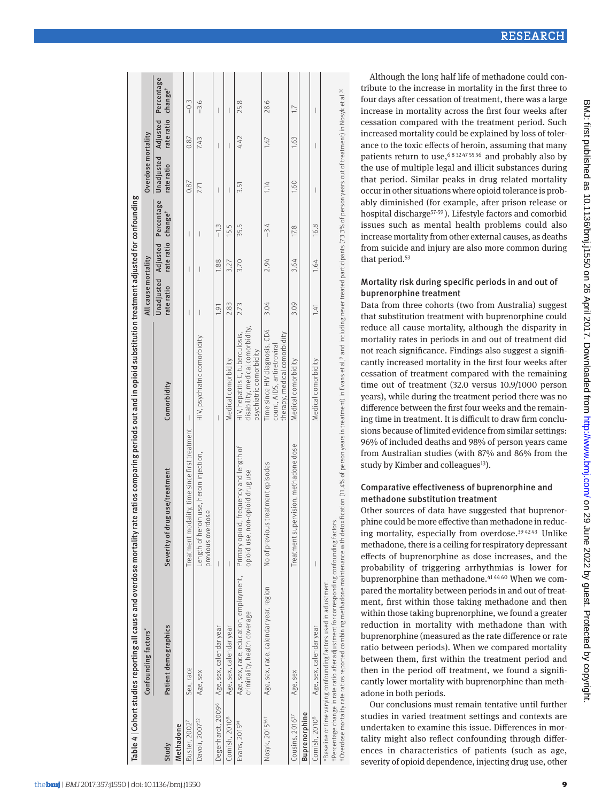|                                                                                                                                                                                                                                                                                                                                                  |                                                                                                                                                                                                                                                                                                                                                                                                                                                                                                                                                                                                                                                                                     |                                                                                                                                                                                                                                                                                                                                                                                                                                                                                                                               | Table 4   Cohort studies reporting all cause and overdose mortality rate ratios comparing periods out and in opioid substitution treatment adjusted for confounding                                                                                                                                                                                                                                                                                                                                                                                                                                                                                                                                                                                                                                                                                                                                                                                 |                                                                                                                                                                                                 |                                                                                   |                                                                                                                                                                                                                                                |                                                                                                                                                                                                                                         |                                                                                                                                                                           |                                                                                                                                                                                                                                           |
|--------------------------------------------------------------------------------------------------------------------------------------------------------------------------------------------------------------------------------------------------------------------------------------------------------------------------------------------------|-------------------------------------------------------------------------------------------------------------------------------------------------------------------------------------------------------------------------------------------------------------------------------------------------------------------------------------------------------------------------------------------------------------------------------------------------------------------------------------------------------------------------------------------------------------------------------------------------------------------------------------------------------------------------------------|-------------------------------------------------------------------------------------------------------------------------------------------------------------------------------------------------------------------------------------------------------------------------------------------------------------------------------------------------------------------------------------------------------------------------------------------------------------------------------------------------------------------------------|-----------------------------------------------------------------------------------------------------------------------------------------------------------------------------------------------------------------------------------------------------------------------------------------------------------------------------------------------------------------------------------------------------------------------------------------------------------------------------------------------------------------------------------------------------------------------------------------------------------------------------------------------------------------------------------------------------------------------------------------------------------------------------------------------------------------------------------------------------------------------------------------------------------------------------------------------------|-------------------------------------------------------------------------------------------------------------------------------------------------------------------------------------------------|-----------------------------------------------------------------------------------|------------------------------------------------------------------------------------------------------------------------------------------------------------------------------------------------------------------------------------------------|-----------------------------------------------------------------------------------------------------------------------------------------------------------------------------------------------------------------------------------------|---------------------------------------------------------------------------------------------------------------------------------------------------------------------------|-------------------------------------------------------------------------------------------------------------------------------------------------------------------------------------------------------------------------------------------|
|                                                                                                                                                                                                                                                                                                                                                  | Confounding factors'                                                                                                                                                                                                                                                                                                                                                                                                                                                                                                                                                                                                                                                                |                                                                                                                                                                                                                                                                                                                                                                                                                                                                                                                               |                                                                                                                                                                                                                                                                                                                                                                                                                                                                                                                                                                                                                                                                                                                                                                                                                                                                                                                                                     | All cause mortality                                                                                                                                                                             |                                                                                   |                                                                                                                                                                                                                                                | Overdose mortality                                                                                                                                                                                                                      |                                                                                                                                                                           |                                                                                                                                                                                                                                           |
| Study                                                                                                                                                                                                                                                                                                                                            | Patient demographics                                                                                                                                                                                                                                                                                                                                                                                                                                                                                                                                                                                                                                                                | uguse/treatment<br>Severity of dr                                                                                                                                                                                                                                                                                                                                                                                                                                                                                             | Comorbidity                                                                                                                                                                                                                                                                                                                                                                                                                                                                                                                                                                                                                                                                                                                                                                                                                                                                                                                                         | Unadjusted<br>rate ratio                                                                                                                                                                        | rate ratio<br>Adjusted                                                            | Percentage<br>change <sup>t</sup>                                                                                                                                                                                                              | Unadjusted<br>rate ratio                                                                                                                                                                                                                | rate ratio<br>Adjusted                                                                                                                                                    | Percentage<br>change <sup>t</sup>                                                                                                                                                                                                         |
| Methadone                                                                                                                                                                                                                                                                                                                                        |                                                                                                                                                                                                                                                                                                                                                                                                                                                                                                                                                                                                                                                                                     |                                                                                                                                                                                                                                                                                                                                                                                                                                                                                                                               |                                                                                                                                                                                                                                                                                                                                                                                                                                                                                                                                                                                                                                                                                                                                                                                                                                                                                                                                                     |                                                                                                                                                                                                 |                                                                                   |                                                                                                                                                                                                                                                |                                                                                                                                                                                                                                         |                                                                                                                                                                           |                                                                                                                                                                                                                                           |
| Buster, 2002 <sup>7</sup>                                                                                                                                                                                                                                                                                                                        | race<br>Sex,                                                                                                                                                                                                                                                                                                                                                                                                                                                                                                                                                                                                                                                                        | Treatment modality, time since first treatment                                                                                                                                                                                                                                                                                                                                                                                                                                                                                |                                                                                                                                                                                                                                                                                                                                                                                                                                                                                                                                                                                                                                                                                                                                                                                                                                                                                                                                                     |                                                                                                                                                                                                 | $\mathbf{I}$                                                                      |                                                                                                                                                                                                                                                | 0.87                                                                                                                                                                                                                                    | 0.87                                                                                                                                                                      | $-0.3$                                                                                                                                                                                                                                    |
| Davoli, 2007 <sup>32</sup>                                                                                                                                                                                                                                                                                                                       | sex<br>Age,                                                                                                                                                                                                                                                                                                                                                                                                                                                                                                                                                                                                                                                                         | Length of heroin use, heroin injection,<br>lose<br>previous overd                                                                                                                                                                                                                                                                                                                                                                                                                                                             | HIV, psychiatric comorbidity                                                                                                                                                                                                                                                                                                                                                                                                                                                                                                                                                                                                                                                                                                                                                                                                                                                                                                                        |                                                                                                                                                                                                 |                                                                                   |                                                                                                                                                                                                                                                | 7.71                                                                                                                                                                                                                                    | 7.43                                                                                                                                                                      | $-3.6$                                                                                                                                                                                                                                    |
| Degenhardt, 2009 <sup>6</sup>                                                                                                                                                                                                                                                                                                                    | Age, sex, calendar year                                                                                                                                                                                                                                                                                                                                                                                                                                                                                                                                                                                                                                                             |                                                                                                                                                                                                                                                                                                                                                                                                                                                                                                                               |                                                                                                                                                                                                                                                                                                                                                                                                                                                                                                                                                                                                                                                                                                                                                                                                                                                                                                                                                     | 1.91                                                                                                                                                                                            | 1.88                                                                              | $\frac{1}{3}$                                                                                                                                                                                                                                  |                                                                                                                                                                                                                                         |                                                                                                                                                                           |                                                                                                                                                                                                                                           |
| Cornish, 2010 <sup>8</sup>                                                                                                                                                                                                                                                                                                                       | Age, sex, calendar year                                                                                                                                                                                                                                                                                                                                                                                                                                                                                                                                                                                                                                                             |                                                                                                                                                                                                                                                                                                                                                                                                                                                                                                                               | Medical comorbidity                                                                                                                                                                                                                                                                                                                                                                                                                                                                                                                                                                                                                                                                                                                                                                                                                                                                                                                                 | 2.83                                                                                                                                                                                            | 3.27                                                                              | 15.5                                                                                                                                                                                                                                           |                                                                                                                                                                                                                                         |                                                                                                                                                                           |                                                                                                                                                                                                                                           |
| Evans, 2015 <sup>9#</sup>                                                                                                                                                                                                                                                                                                                        | Age, sex, race, education, employment,<br>criminality, health coverage                                                                                                                                                                                                                                                                                                                                                                                                                                                                                                                                                                                                              | frequency and length of<br>opioid use, non-opioid drug use<br>Primary opioid                                                                                                                                                                                                                                                                                                                                                                                                                                                  | disability, medical comorbidity,<br>HIV, hepatitis C, tuberculosis,<br>psychiatric comorbidity                                                                                                                                                                                                                                                                                                                                                                                                                                                                                                                                                                                                                                                                                                                                                                                                                                                      | 2.73                                                                                                                                                                                            | 3.70                                                                              | 35.5                                                                                                                                                                                                                                           | 3.51                                                                                                                                                                                                                                    | 4.42                                                                                                                                                                      | 25.8                                                                                                                                                                                                                                      |
| Nosyk, 2015 <sup>36#</sup>                                                                                                                                                                                                                                                                                                                       | Age, sex, race, calendar year, region                                                                                                                                                                                                                                                                                                                                                                                                                                                                                                                                                                                                                                               | treatment episodes<br>No of previous                                                                                                                                                                                                                                                                                                                                                                                                                                                                                          | CD4<br>therapy, medical comorbidity<br>Time since HIV diagnosis,<br>count, AIDS, antiretroviral                                                                                                                                                                                                                                                                                                                                                                                                                                                                                                                                                                                                                                                                                                                                                                                                                                                     | 3.04                                                                                                                                                                                            | 2.94                                                                              | $-3.4$                                                                                                                                                                                                                                         | 1.14                                                                                                                                                                                                                                    | 1.47                                                                                                                                                                      | 28.6                                                                                                                                                                                                                                      |
| Cousins, 2016 <sup>37</sup>                                                                                                                                                                                                                                                                                                                      | Age, sex                                                                                                                                                                                                                                                                                                                                                                                                                                                                                                                                                                                                                                                                            | ervision, methadone dose<br>Treatment sup                                                                                                                                                                                                                                                                                                                                                                                                                                                                                     | Medical comorbidity                                                                                                                                                                                                                                                                                                                                                                                                                                                                                                                                                                                                                                                                                                                                                                                                                                                                                                                                 | 3.09                                                                                                                                                                                            | 3.64                                                                              | 17.8                                                                                                                                                                                                                                           | 1.60                                                                                                                                                                                                                                    | 1.63                                                                                                                                                                      | $\overline{1}$ .                                                                                                                                                                                                                          |
| Buprenorphine                                                                                                                                                                                                                                                                                                                                    |                                                                                                                                                                                                                                                                                                                                                                                                                                                                                                                                                                                                                                                                                     |                                                                                                                                                                                                                                                                                                                                                                                                                                                                                                                               |                                                                                                                                                                                                                                                                                                                                                                                                                                                                                                                                                                                                                                                                                                                                                                                                                                                                                                                                                     |                                                                                                                                                                                                 |                                                                                   |                                                                                                                                                                                                                                                |                                                                                                                                                                                                                                         |                                                                                                                                                                           |                                                                                                                                                                                                                                           |
| Cornish, 2010 <sup>8</sup>                                                                                                                                                                                                                                                                                                                       | vear<br>sex, calendar<br>Age,                                                                                                                                                                                                                                                                                                                                                                                                                                                                                                                                                                                                                                                       |                                                                                                                                                                                                                                                                                                                                                                                                                                                                                                                               | Medical comorbidity                                                                                                                                                                                                                                                                                                                                                                                                                                                                                                                                                                                                                                                                                                                                                                                                                                                                                                                                 | 1,41                                                                                                                                                                                            | 1.64                                                                              | 16.8                                                                                                                                                                                                                                           |                                                                                                                                                                                                                                         |                                                                                                                                                                           |                                                                                                                                                                                                                                           |
| Our conclusions must remain tentative until further<br>studies in varied treatment settings and contexts are<br>undertaken to examine this issue. Differences in mor-<br>tality might also reflect confounding through differ-<br>ences in characteristics of patients (such as age,<br>severity of opioid dependence, injecting drug use, other | buprenorphine than methadone. <sup>414460</sup> When we com-<br>tPercentage change in rate ratio after adjustment for corresponding<br>pared the mortality between periods in and out of treat-<br>ment, first within those taking methadone and then<br>within those taking buprenorphine, we found a greater<br>reduction in mortality with methadone than with<br>buprenorphine (measured as the rate difference or rate<br>ratio between periods). When we compared mortality<br>between them, first within the treatment period and<br>then in the period off treatment, we found a signifi-<br>cantly lower mortality with buprenorphine than meth-<br>adone in both periods. | study by Kimber and colleagues <sup>13</sup> ).<br>Comparative effectiveness of buprenorphine and<br>methadone substitution treatment<br>Other sources of data have suggested that buprenor-<br>phine could be more effective than methadone in reduc-<br>confounding factors<br>ing mortality, especially from overdose. <sup>39 42 43</sup> Unlike<br>methadone, there is a ceiling for respiratory depressant<br>effects of buprenorphine as dose increases, and the<br>probability of triggering arrhythmias is lower for | if Overdose mortality rate ratios reported combining methadone maintenance with detoxification (11.4% of person years in treatment) in Evans et al.9 and including never treated participants (73.3% of person years out of tr<br>reduce all cause mortality, although the disparity in<br>mortality rates in periods in and out of treatment did<br>not reach significance. Findings also suggest a signifi-<br>cantly increased mortality in the first four weeks after<br>cessation of treatment compared with the remaining<br>time out of treatment (32.0 versus 10.9/1000 person<br>years), while during the treatment period there was no<br>difference between the first four weeks and the remain-<br>ing time in treatment. It is difficult to draw firm conclu-<br>sions because of limited evidence from similar settings:<br>96% of included deaths and 98% of person years came<br>from Australian studies (with 87% and 86% from the | Mortality risk during specific periods in and out of<br>buprenorphine treatment<br>Data from three cohorts (two from Australia) suggest<br>that substitution treatment with buprenorphine could | from suicide and injury are also more common during<br>that period. <sup>53</sup> | ably diminished (for example, after prison release or<br>hospital discharge <sup>57-59</sup> ). Lifestyle factors and comorbid<br>issues such as mental health problems could also<br>increase mortality from other external causes, as deaths | patients return to use, 6832475556 and probably also by<br>the use of multiple legal and illicit substances during<br>that period. Similar peaks in drug related mortality<br>occur in other situations where opioid tolerance is prob- | cessation compared with the treatment period. Such<br>increased mortality could be explained by loss of toler-<br>ance to the toxic effects of heroin, assuming that many | Although the long half life of methadone could con-<br>tribute to the increase in mortality in the first three to<br>four days after cessation of treatment, there was a large<br>increase in mortality across the first four weeks after |

## Mortality risk during specific periods in and out of buprenorphine treatment

## Comparative effectiveness of buprenorphine and methadone substitution treatment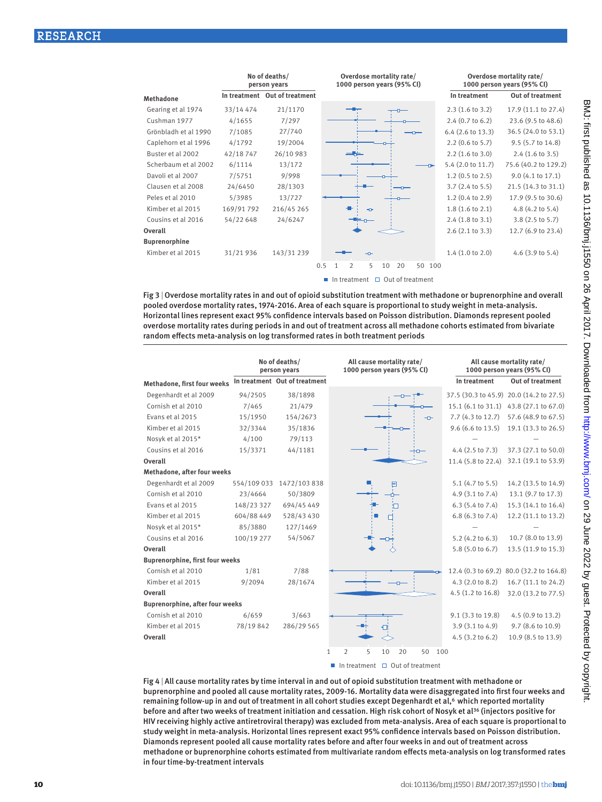|                      |           | No of deaths/<br>person years | Overdose mortality rate/<br>1000 person years (95% CI)   |                                | Overdose mortality rate/<br>1000 person years (95% CI) |
|----------------------|-----------|-------------------------------|----------------------------------------------------------|--------------------------------|--------------------------------------------------------|
| <b>Methadone</b>     |           | In treatment Out of treatment |                                                          | In treatment                   | Out of treatment                                       |
| Gearing et al 1974   | 33/14 474 | 21/1170                       |                                                          | $2.3(1.6 \text{ to } 3.2)$     | 17.9 (11.1 to 27.4)                                    |
| Cushman 1977         | 4/1655    | 7/297                         |                                                          | $2.4(0.7 \text{ to } 6.2)$     | 23.6 (9.5 to 48.6)                                     |
| Grönbladh et al 1990 | 7/1085    | 27/740                        |                                                          | $6.4$ $(2.6 \text{ to } 13.3)$ | 36.5 (24.0 to 53.1)                                    |
| Caplehorn et al 1996 | 4/1792    | 19/2004                       |                                                          | $2.2$ (0.6 to 5.7)             | $9.5$ (5.7 to 14.8)                                    |
| Buster et al 2002    | 42/18 747 | 26/10 983                     |                                                          | $2.2$ (1.6 to 3.0)             | $2.4$ (1.6 to 3.5)                                     |
| Scherbaum et al 2002 | 6/1114    | 13/172                        |                                                          | 5.4 (2.0 to 11.7)              | 75.6 (40.2 to 129.2)                                   |
| Davoli et al 2007    | 7/5751    | 9/998                         |                                                          | $1.2(0.5 \text{ to } 2.5)$     | 9.0 (4.1 to 17.1)                                      |
| Clausen et al 2008   | 24/6450   | 28/1303                       |                                                          | $3.7(2.4 \text{ to } 5.5)$     | 21.5 (14.3 to 31.1)                                    |
| Peles et al 2010     | 5/3985    | 13/727                        |                                                          | $1.2(0.4 \text{ to } 2.9)$     | 17.9 (9.5 to 30.6)                                     |
| Kimber et al 2015    | 169/91792 | 216/45 265                    | ÷                                                        | $1.8(1.6 \text{ to } 2.1)$     | $4.8(4.2 \text{ to } 5.4)$                             |
| Cousins et al 2016   | 54/22 648 | 24/6247                       |                                                          | $2.4$ (1.8 to 3.1)             | $3.8(2.5 \text{ to } 5.7)$                             |
| Overall              |           |                               |                                                          | $2.6$ (2.1 to 3.3)             | 12.7 (6.9 to 23.4)                                     |
| <b>Buprenorphine</b> |           |                               |                                                          |                                |                                                        |
| Kimber et al 2015    | 31/21 936 | 143/31 239                    | ╼                                                        | $1.4$ (1.0 to 2.0)             | $4.6$ (3.9 to 5.4)                                     |
|                      |           |                               | 0.5<br>$\overline{2}$<br>5<br>10<br>20<br>50<br>100<br>1 |                                |                                                        |
|                      |           |                               | $\Box$ Out of treatment<br>$\blacksquare$ In treatment   |                                |                                                        |

Fig 3 | Overdose mortality rates in and out of opioid substitution treatment with methadone or buprenorphine and overall pooled overdose mortality rates, 1974-2016. Area of each square is proportional to study weight in meta-analysis. Horizontal lines represent exact 95% confidence intervals based on Poisson distribution. Diamonds represent pooled overdose mortality rates during periods in and out of treatment across all methadone cohorts estimated from bivariate random effects meta-analysis on log transformed rates in both treatment periods

|                                        |            | No of deaths/<br>person years | All cause mortality rate/<br>1000 person years (95% CI)      |                               | All cause mortality rate/<br>1000 person years (95% CI) |
|----------------------------------------|------------|-------------------------------|--------------------------------------------------------------|-------------------------------|---------------------------------------------------------|
| Methadone, first four weeks            |            | In treatment Out of treatment |                                                              | In treatment                  | Out of treatment                                        |
| Degenhardt et al 2009                  | 94/2505    | 38/1898                       |                                                              |                               | 37.5 (30.3 to 45.9) 20.0 (14.2 to 27.5)                 |
| Cornish et al 2010                     | 7/465      | 21/479                        |                                                              |                               | 15.1 (6.1 to 31.1) 43.8 (27.1 to 67.0)                  |
| Evans et al 2015                       | 15/1950    | 154/2673                      | $-$                                                          | 7.7 (4.3 to 12.7)             | 57.6 (48.9 to 67.5)                                     |
| Kimber et al 2015                      | 32/3344    | 35/1836                       |                                                              | $9.6$ (6.6 to 13.5)           | 19.1 (13.3 to 26.5)                                     |
| Nosyk et al 2015*                      | 4/100      | 79/113                        |                                                              |                               |                                                         |
| Cousins et al 2016                     | 15/3371    | 44/1181                       |                                                              | $4.4(2.5 \text{ to } 7.3)$    | 37.3 (27.1 to 50.0)                                     |
| Overall                                |            |                               |                                                              |                               | 11.4 (5.8 to 22.4) 32.1 (19.1 to 53.9)                  |
| Methadone, after four weeks            |            |                               |                                                              |                               |                                                         |
| Degenhardt et al 2009                  |            | 554/109 033 1472/103 838      |                                                              | 5.1 (4.7 to 5.5)              | 14.2 (13.5 to 14.9)                                     |
| Cornish et al 2010                     | 23/4664    | 50/3809                       |                                                              | 4.9 (3.1 to 7.4)              | 13.1 (9.7 to 17.3)                                      |
| Evans et al 2015                       | 148/23 327 | 694/45 449                    |                                                              | $6.3$ $(5.4$ to $7.4)$        | 15.3 (14.1 to 16.4)                                     |
| Kimber et al 2015                      | 604/88 449 | 528/43 430                    |                                                              | $6.8$ $(6.3$ to $7.4)$        | 12.2 (11.1 to 13.2)                                     |
| Nosyk et al 2015*                      | 85/3880    | 127/1469                      |                                                              |                               |                                                         |
| Cousins et al 2016                     | 100/19 277 | 54/5067                       |                                                              | $5.2$ (4.2 to 6.3)            | 10.7 (8.0 to 13.9)                                      |
| Overall                                |            |                               |                                                              | 5.8 (5.0 to 6.7)              | 13.5 (11.9 to 15.3)                                     |
| <b>Buprenorphine, first four weeks</b> |            |                               |                                                              |                               |                                                         |
| Cornish et al 2010                     | 1/81       | 7/88                          |                                                              |                               | 12.4 (0.3 to 69.2) 80.0 (32.2 to 164.8)                 |
| Kimber et al 2015                      | 9/2094     | 28/1674                       |                                                              | $4.3$ $(2.0 \text{ to } 8.2)$ | 16.7 (11.1 to 24.2)                                     |
| Overall                                |            |                               |                                                              | 4.5 (1.2 to 16.8)             | 32.0 (13.2 to 77.5)                                     |
| Buprenorphine, after four weeks        |            |                               |                                                              |                               |                                                         |
| Cornish et al 2010                     | 6/659      | 3/663                         |                                                              | 9.1 (3.3 to 19.8)             | 4.5 (0.9 to 13.2)                                       |
| Kimber et al 2015                      | 78/19842   | 286/29 565                    |                                                              | $3.9(3.1 \text{ to } 4.9)$    | 9.7 (8.6 to 10.9)                                       |
| Overall                                |            |                               |                                                              | $4.5$ $(3.2$ to $6.2)$        | 10.9 (8.5 to 13.9)                                      |
|                                        |            |                               | $\mathbf{1}$<br>$\overline{2}$<br>5<br>10<br>20<br>50<br>100 |                               |                                                         |
|                                        |            |                               | In treatment $\Box$ Out of treatment                         |                               |                                                         |

Fig 4 | All cause mortality rates by time interval in and out of opioid substitution treatment with methadone or buprenorphine and pooled all cause mortality rates, 2009-16. Mortality data were disaggregated into first four weeks and remaining follow-up in and out of treatment in all cohort studies except Degenhardt et al,<sup>6</sup> which reported mortality before and after two weeks of treatment initiation and cessation. High risk cohort of Nosyk et al<sup>36</sup> (injectors positive for HIV receiving highly active antiretroviral therapy) was excluded from meta-analysis. Area of each square is proportional to study weight in meta-analysis. Horizontal lines represent exact 95% confidence intervals based on Poisson distribution. Diamonds represent pooled all cause mortality rates before and after four weeks in and out of treatment across methadone or buprenorphine cohorts estimated from multivariate random effects meta-analysis on log transformed rates in four time-by-treatment intervals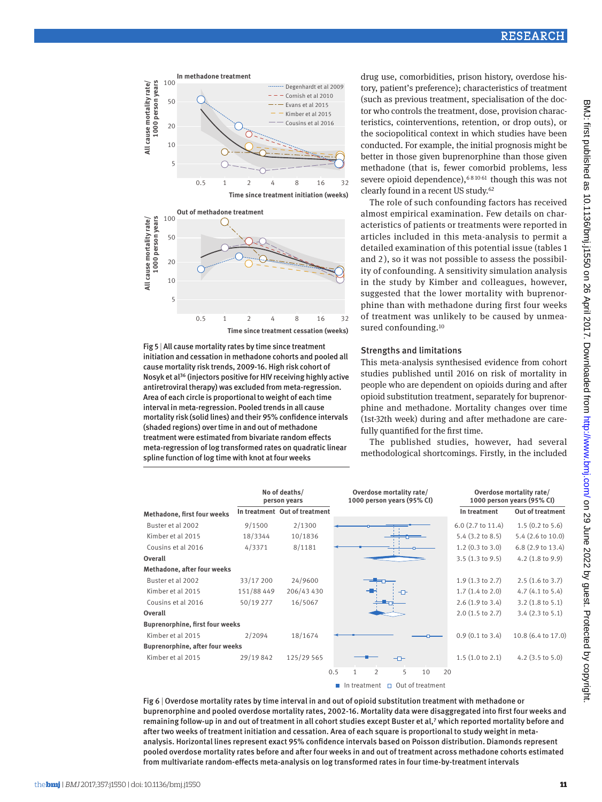





drug use, comorbidities, prison history, overdose history, patient's preference); characteristics of treatment (such as previous treatment, specialisation of the doctor who controls the treatment, dose, provision characteristics, cointerventions, retention, or drop outs), or the sociopolitical context in which studies have been conducted. For example, the initial prognosis might be better in those given buprenorphine than those given methadone (that is, fewer comorbid problems, less severe opioid dependence),<sup>681061</sup> though this was not clearly found in a recent US study.62

The role of such confounding factors has received almost empirical examination. Few details on characteristics of patients or treatments were reported in articles included in this meta-analysis to permit a detailed examination of this potential issue (tables 1 and 2), so it was not possible to assess the possibility of confounding. A sensitivity simulation analysis in the study by Kimber and colleagues, however, suggested that the lower mortality with buprenorphine than with methadone during first four weeks of treatment was unlikely to be caused by unmeasured confounding.<sup>10</sup>

#### Strengths and limitations

This meta-analysis synthesised evidence from cohort studies published until 2016 on risk of mortality in people who are dependent on opioids during and after opioid substitution treatment, separately for buprenorphine and methadone. Mortality changes over time (1st-32th week) during and after methadone are carefully quantified for the first time.

The published studies, however, had several methodological shortcomings. Firstly, in the included

|                                        |            | No of deaths/<br>person years | Overdose mortality rate/<br>1000 person years (95% CI) |                            | Overdose mortality rate/<br>1000 person years (95% CI) |
|----------------------------------------|------------|-------------------------------|--------------------------------------------------------|----------------------------|--------------------------------------------------------|
| Methadone, first four weeks            |            | In treatment Out of treatment |                                                        | In treatment               | <b>Out of treatment</b>                                |
| Buster et al 2002                      | 9/1500     | 2/1300                        |                                                        | $6.0$ (2.7 to 11.4)        | $1.5(0.2 \text{ to } 5.6)$                             |
| Kimber et al 2015                      | 18/3344    | 10/1836                       |                                                        | $5.4$ $(3.2$ to $8.5)$     | 5.4 (2.6 to 10.0)                                      |
| Cousins et al 2016                     | 4/3371     | 8/1181                        |                                                        | $1.2(0.3 \text{ to } 3.0)$ | 6.8 (2.9 to 13.4)                                      |
| Overall                                |            |                               |                                                        | $3.5(1.3 \text{ to } 9.5)$ | 4.2 $(1.8 \text{ to } 9.9)$                            |
| Methadone, after four weeks            |            |                               |                                                        |                            |                                                        |
| Buster et al 2002                      | 33/17 200  | 24/9600                       |                                                        | $1.9(1.3 \text{ to } 2.7)$ | $2.5(1.6 \text{ to } 3.7)$                             |
| Kimber et al 2015                      | 151/88 449 | 206/43 430                    |                                                        | $1.7(1.4 \text{ to } 2.0)$ | $4.7(4.1 \text{ to } 5.4)$                             |
| Cousins et al 2016                     | 50/19 277  | 16/5067                       |                                                        | $2.6(1.9 \text{ to } 3.4)$ | $3.2$ (1.8 to 5.1)                                     |
| Overall                                |            |                               |                                                        | $2.0$ (1.5 to 2.7)         | $3.4$ (2.3 to 5.1)                                     |
| <b>Buprenorphine, first four weeks</b> |            |                               |                                                        |                            |                                                        |
| Kimber et al 2015                      | 2/2094     | 18/1674                       |                                                        | $0.9(0.1 \text{ to } 3.4)$ | 10.8 (6.4 to 17.0)                                     |
| <b>Buprenorphine, after four weeks</b> |            |                               |                                                        |                            |                                                        |
| Kimber et al 2015                      | 29/19 842  | 125/29 565                    |                                                        | $1.5(1.0 \text{ to } 2.1)$ | $4.2$ (3.5 to 5.0)                                     |
|                                        |            |                               | 0.5<br>$\overline{\mathbf{c}}$<br>5<br>10<br>20<br>1   |                            |                                                        |

Fig 6 | Overdose mortality rates by time interval in and out of opioid substitution treatment with methadone or buprenorphine and pooled overdose mortality rates, 2002-16. Mortality data were disaggregated into first four weeks and remaining follow-up in and out of treatment in all cohort studies except Buster et al,7 which reported mortality before and after two weeks of treatment initiation and cessation. Area of each square is proportional to study weight in metaanalysis. Horizontal lines represent exact 95% confidence intervals based on Poisson distribution. Diamonds represent pooled overdose mortality rates before and after four weeks in and out of treatment across methadone cohorts estimated from multivariate random-effects meta-analysis on log transformed rates in four time-by-treatment intervals

In treatment  $\Box$  Out of treatment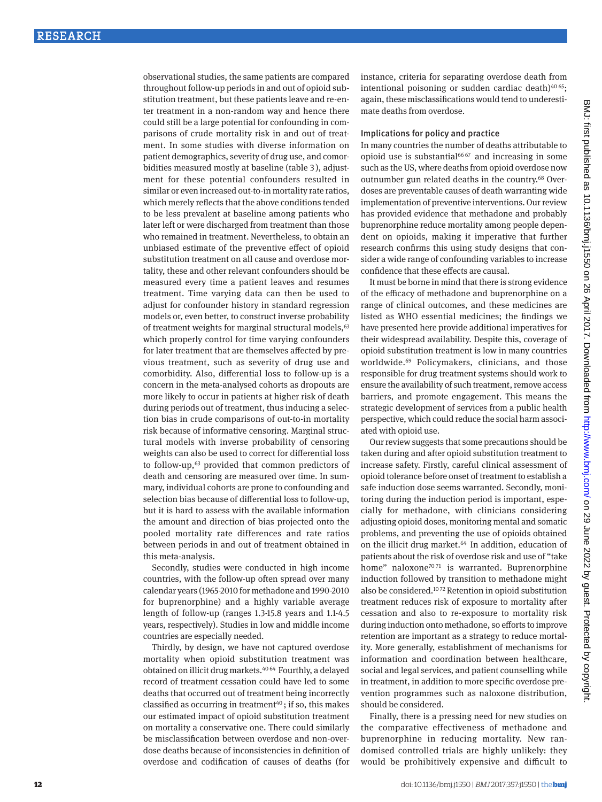observational studies, the same patients are compared throughout follow-up periods in and out of opioid substitution treatment, but these patients leave and re-enter treatment in a non-random way and hence there could still be a large potential for confounding in comparisons of crude mortality risk in and out of treatment. In some studies with diverse information on patient demographics, severity of drug use, and comorbidities measured mostly at baseline (table 3 ), adjustment for these potential confounders resulted in similar or even increased out-to-in mortality rate ratios, which merely reflects that the above conditions tended to be less prevalent at baseline among patients who later left or were discharged from treatment than those who remained in treatment. Nevertheless, to obtain an unbiased estimate of the preventive effect of opioid substitution treatment on all cause and overdose mortality, these and other relevant confounders should be measured every time a patient leaves and resumes treatment. Time varying data can then be used to adjust for confounder history in standard regression models or, even better, to construct inverse probability of treatment weights for marginal structural models, $63$ which properly control for time varying confounders for later treatment that are themselves affected by previous treatment, such as severity of drug use and comorbidity. Also, differential loss to follow-up is a concern in the meta-analysed cohorts as dropouts are more likely to occur in patients at higher risk of death during periods out of treatment, thus inducing a selection bias in crude comparisons of out-to-in mortality risk because of informative censoring. Marginal structural models with inverse probability of censoring weights can also be used to correct for differential loss to follow-up,63 provided that common predictors of death and censoring are measured over time. In summary, individual cohorts are prone to confounding and selection bias because of differential loss to follow-up, but it is hard to assess with the available information the amount and direction of bias projected onto the pooled mortality rate differences and rate ratios between periods in and out of treatment obtained in this meta-analysis.

Secondly, studies were conducted in high income countries, with the follow-up often spread over many calendar years (1965-2010 for methadone and 1990-2010 for buprenorphine) and a highly variable average length of follow-up (ranges 1.3-15.8 years and 1.1-4.5 years, respectively). Studies in low and middle income countries are especially needed.

Thirdly, by design, we have not captured overdose mortality when opioid substitution treatment was obtained on illicit drug markets.40 <sup>64</sup> Fourthly, a delayed record of treatment cessation could have led to some deaths that occurred out of treatment being incorrectly classified as occurring in treatment<sup>40</sup>; if so, this makes our estimated impact of opioid substitution treatment on mortality a conservative one. There could similarly be misclassification between overdose and non-overdose deaths because of inconsistencies in definition of overdose and codification of causes of deaths (for

instance, criteria for separating overdose death from intentional poisoning or sudden cardiac death) $40\,65$ ; again, these misclassifications would tend to underestimate deaths from overdose.

#### Implications for policy and practice

In many countries the number of deaths attributable to opioid use is substantial $6667$  and increasing in some such as the US, where deaths from opioid overdose now outnumber gun related deaths in the country.68 Overdoses are preventable causes of death warranting wide implementation of preventive interventions. Our review has provided evidence that methadone and probably buprenorphine reduce mortality among people dependent on opioids, making it imperative that further research confirms this using study designs that consider a wide range of confounding variables to increase confidence that these effects are causal.

It must be borne in mind that there is strong evidence of the efficacy of methadone and buprenorphine on a range of clinical outcomes, and these medicines are listed as WHO essential medicines; the findings we have presented here provide additional imperatives for their widespread availability. Despite this, coverage of opioid substitution treatment is low in many countries worldwide.69 Policymakers, clinicians, and those responsible for drug treatment systems should work to ensure the availability of such treatment, remove access barriers, and promote engagement. This means the strategic development of services from a public health perspective, which could reduce the social harm associated with opioid use.

Our review suggests that some precautions should be taken during and after opioid substitution treatment to increase safety. Firstly, careful clinical assessment of opioid tolerance before onset of treatment to establish a safe induction dose seems warranted. Secondly, monitoring during the induction period is important, especially for methadone, with clinicians considering adjusting opioid doses, monitoring mental and somatic problems, and preventing the use of opioids obtained on the illicit drug market.<sup>64</sup> In addition, education of patients about the risk of overdose risk and use of "take home" naloxone<sup>70 71</sup> is warranted. Buprenorphine induction followed by transition to methadone might also be considered.10 72 Retention in opioid substitution treatment reduces risk of exposure to mortality after cessation and also to re-exposure to mortality risk during induction onto methadone, so efforts to improve retention are important as a strategy to reduce mortality. More generally, establishment of mechanisms for information and coordination between healthcare, social and legal services, and patient counselling while in treatment, in addition to more specific overdose prevention programmes such as naloxone distribution, should be considered.

Finally, there is a pressing need for new studies on the comparative effectiveness of methadone and buprenorphine in reducing mortality. New randomised controlled trials are highly unlikely: they would be prohibitively expensive and difficult to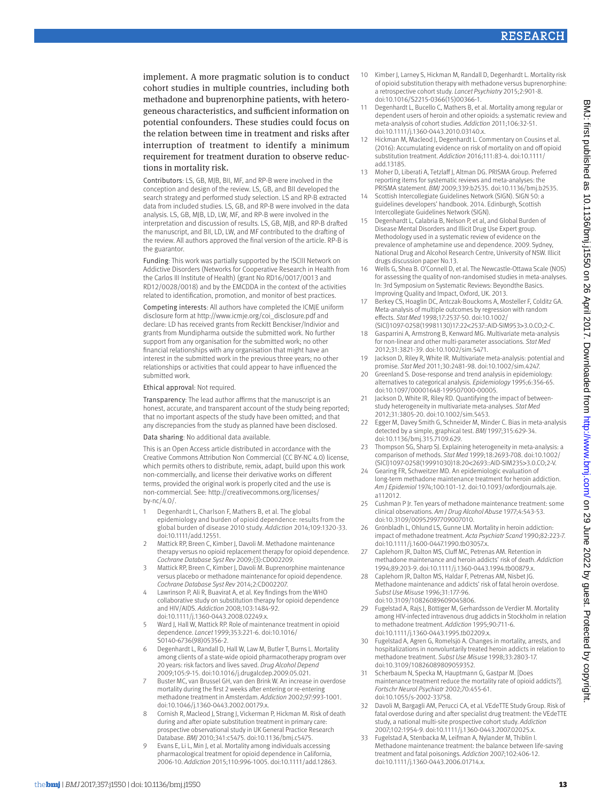implement. A more pragmatic solution is to conduct cohort studies in multiple countries, including both methadone and buprenorphine patients, with heterogeneous characteristics, and sufficient information on potential confounders. These studies could focus on the relation between time in treatment and risks after interruption of treatment to identify a minimum requirement for treatment duration to observe reductions in mortality risk.

Contributors: LS, GB, MJB, BII, MF, and RP-B were involved in the conception and design of the review. LS, GB, and BII developed the search strategy and performed study selection. LS and RP-B extracted data from included studies. LS, GB, and RP-B were involved in the data analysis. LS, GB, MJB, LD, LW, MF, and RP-B were involved in the interpretation and discussion of results. LS, GB, MJB, and RP-B drafted the manuscript, and BII, LD, LW, and MF contributed to the drafting of the review. All authors approved the final version of the article. RP-B is the guarantor.

Funding: This work was partially supported by the ISCIII Network on Addictive Disorders (Networks for Cooperative Research in Health from the Carlos III Institute of Health) (grant No RD16/0017/0013 and RD12/0028/0018) and by the EMCDDA in the context of the activities related to identification, promotion, and monitor of best practices.

Competing interests: All authors have completed the ICMJE uniform disclosure form at http://www.icmje.org/coi\_disclosure.pdf and declare: LD has received grants from Reckitt Benckiser/Indivior and grants from Mundipharma outside the submitted work. No further support from any organisation for the submitted work; no other financial relationships with any organisation that might have an interest in the submitted work in the previous three years; no other relationships or activities that could appear to have influenced the submitted work.

#### Ethical approval: Not required.

Transparency: The lead author affirms that the manuscript is an honest, accurate, and transparent account of the study being reported; that no important aspects of the study have been omitted; and that any discrepancies from the study as planned have been disclosed.

#### Data sharing: No additional data available.

This is an Open Access article distributed in accordance with the Creative Commons Attribution Non Commercial (CC BY-NC 4.0) license, which permits others to distribute, remix, adapt, build upon this work non-commercially, and license their derivative works on different terms, provided the original work is properly cited and the use is non-commercial. See: http://creativecommons.org/licenses/ by-nc/4.0/.

- Degenhardt L, Charlson F, Mathers B, et al. The global epidemiology and burden of opioid dependence: results from the global burden of disease 2010 study. *Addiction* 2014;109:1320-33. doi:10.1111/add.12551.
- 2 Mattick RP, Breen C, Kimber J, Davoli M, Methadone maintenance therapy versus no opioid replacement therapy for opioid dependence. *Cochrane Database Syst Rev* 2009;(3):CD002209.
- 3 Mattick RP, Breen C, Kimber J, Davoli M. Buprenorphine maintenance versus placebo or methadone maintenance for opioid dependence. *Cochrane Database Syst Rev* 2014;2:CD002207.
- 4 Lawrinson P, Ali R, Buavirat A, et al. Key findings from the WHO collaborative study on substitution therapy for opioid dependence and HIV/AIDS. *Addiction* 2008;103:1484-92. doi:10.1111/j.1360-0443.2008.02249.x.
- 5 Ward J, Hall W, Mattick RP. Role of maintenance treatment in opioid dependence. *Lancet* 1999;353:221-6. doi:10.1016/ S0140-6736(98)05356-2.
- 6 Degenhardt L, Randall D, Hall W, Law M, Butler T, Burns L. Mortality among clients of a state-wide opioid pharmacotherapy program over 20 years: risk factors and lives saved. *Drug Alcohol Depend* 2009;105:9-15. doi:10.1016/j.drugalcdep.2009.05.021.
- Buster MC, van Brussel GH, van den Brink W. An increase in overdose mortality during the first 2 weeks after entering or re-entering methadone treatment in Amsterdam. *Addiction* 2002;97:993-1001. doi:10.1046/j.1360-0443.2002.00179.x.
- 8 Cornish R, Macleod J, Strang J, Vickerman P, Hickman M. Risk of death during and after opiate substitution treatment in primary care: prospective observational study in UK General Practice Research Database. *BMJ* 2010;341:c5475. doi:10.1136/bmj.c5475.
- Evans E, Li L, Min J, et al. Mortality among individuals accessing pharmacological treatment for opioid dependence in California, 2006-10. *Addiction* 2015;110:996-1005. doi:10.1111/add.12863.
- 10 Kimber J, Larney S, Hickman M, Randall D, Degenhardt L. Mortality risk of opioid substitution therapy with methadone versus buprenorphine: a retrospective cohort study. *Lancet Psychiatry* 2015;2:901-8. doi:10.1016/S2215-0366(15)00366-1.
- 11 Degenhardt L, Bucello C, Mathers B, et al. Mortality among regular or dependent users of heroin and other opioids: a systematic review and meta-analysis of cohort studies. *Addiction* 2011;106:32-51. doi:10.1111/j.1360-0443.2010.03140.x.
- 12 Hickman M, Macleod I, Degenhardt L, Commentary on Cousins et al. (2016): Accumulating evidence on risk of mortality on and off opioid substitution treatment. *Addiction* 2016;111:83-4. doi:10.1111/ add.13185.
- 13 Moher D, Liberati A, Tetzlaff J, Altman DG. PRISMA Group. Preferred reporting items for systematic reviews and meta-analyses: the PRISMA statement. *BMJ* 2009;339:b2535. doi:10.1136/bmj.b2535.
- 14 Scottish Intercollegiate Guidelines Network (SIGN). SIGN 50: a guidelines developers' handbook. 2014. Edinburgh, Scottish Intercollegiate Guidelines Network (SIGN).
- 15 Degenhardt L, Calabria B, Nelson P, et al, and Global Burden of Disease Mental Disorders and Illicit Drug Use Expert group. Methodology used in a systematic review of evidence on the prevalence of amphetamine use and dependence. 2009. Sydney, National Drug and Alcohol Research Centre, University of NSW. Illicit drugs discussion paper No.13.
- 16 Wells G, Shea B. O'Connell D, et al. The Newcastle-Ottawa Scale (NOS) for assessing the quality of non-randomised studies in meta-analyses. In: 3rd Symposium on Systematic Reviews: Beyondthe Basics. Improving Quality and Impact, Oxford, UK. 2013.
- 17 Berkey CS, Hoaglin DC, Antczak-Bouckoms A, Mosteller F, Colditz GA. Meta-analysis of multiple outcomes by regression with random effects. *Stat Med* 1998;17:2537-50. doi:10.1002/ (SICI)1097-0258(19981130)17:22<2537::AID-SIM953>3.0.CO;2-C.
- 18 Gasparrini A, Armstrong B, Kenward MG. Multivariate meta-analysis for non-linear and other multi-parameter associations. *Stat Med* 2012;31:3821-39. doi:10.1002/sim.5471.
- 19 Jackson D, Riley R, White IR. Multivariate meta-analysis: potential and promise. *Stat Med* 2011;30:2481-98. doi:10.1002/sim.4247.
- 20 Greenland S. Dose-response and trend analysis in epidemiology: alternatives to categorical analysis. *Epidemiology* 1995;6:356-65. doi:10.1097/00001648-199507000-00005.
- 21 Jackson D, White IR, Riley RD. Quantifying the impact of betweenstudy heterogeneity in multivariate meta-analyses. *Stat Med* 2012;31:3805-20. doi:10.1002/sim.5453.
- 22 Egger M, Davey Smith G, Schneider M, Minder C. Bias in meta-analysis detected by a simple, graphical test. *BMJ* 1997;315:629-34. doi:10.1136/bmj.315.7109.629.
- Thompson SG, Sharp SJ. Explaining heterogeneity in meta-analysis: a comparison of methods. *Stat Med* 1999;18:2693-708. doi:10.1002/ (SICI)1097-0258(19991030)18:20<2693::AID-SIM235>3.0.CO;2-V.
- 24 Gearing FR, Schweitzer MD. An epidemiologic evaluation of long-term methadone maintenance treatment for heroin addiction. *Am J Epidemiol* 1974;100:101-12. doi:10.1093/oxfordjournals.aje. a112012.
- 25 Cushman P Jr. Ten years of methadone maintenance treatment: some clinical observations. *Am J Drug Alcohol Abuse* 1977;4:543-53. doi:10.3109/00952997709007010.
- 26 Grönbladh L, Ohlund LS, Gunne LM. Mortality in heroin addiction: impact of methadone treatment. *Acta Psychiatr Scand* 1990;82:223-7. doi:10.1111/j.1600-0447.1990.tb03057.x.
- 27 Caplehorn JR, Dalton MS, Cluff MC, Petrenas AM. Retention in methadone maintenance and heroin addicts' risk of death. *Addiction* 1994;89:203-9. doi:10.1111/j.1360-0443.1994.tb00879.x.
- 28 Caplehorn JR, Dalton MS, Haldar F, Petrenas AM, Nisbet JG. Methadone maintenance and addicts' risk of fatal heroin overdose. *Subst Use Misuse* 1996;31:177-96. doi:10.3109/10826089609045806.
- 29 Fugelstad A, Rajs J, Böttiger M, Gerhardsson de Verdier M. Mortality among HIV-infected intravenous drug addicts in Stockholm in relation to methadone treatment. *Addiction* 1995;90:711-6. doi:10.1111/j.1360-0443.1995.tb02209.x.
- 30 Fugelstad A, Agren G, Romelsjö A. Changes in mortality, arrests, and hospitalizations in nonvoluntarily treated heroin addicts in relation to methadone treatment. *Subst Use Misuse* 1998;33:2803-17. doi:10.3109/10826089809059352.
- 31 Scherbaum N, Specka M, Hauptmann G, Gastpar M. [Does maintenance treatment reduce the mortality rate of opioid addicts?]. *Fortschr Neurol Psychiatr* 2002;70:455-61. doi:10.1055/s-2002-33758.
- 32 Davoli M, Bargagli AM, Perucci CA, et al. VEdeTTE Study Group. Risk of fatal overdose during and after specialist drug treatment: the VEdeTTE study, a national multi-site prospective cohort study. *Addiction* 2007;102:1954-9. doi:10.1111/j.1360-0443.2007.02025.x.
- 33 Fugelstad A, Stenbacka M, Leifman A, Nylander M, Thiblin I. Methadone maintenance treatment: the balance between life-saving treatment and fatal poisonings. *Addiction* 2007;102:406-12. doi:10.1111/j.1360-0443.2006.01714.x.